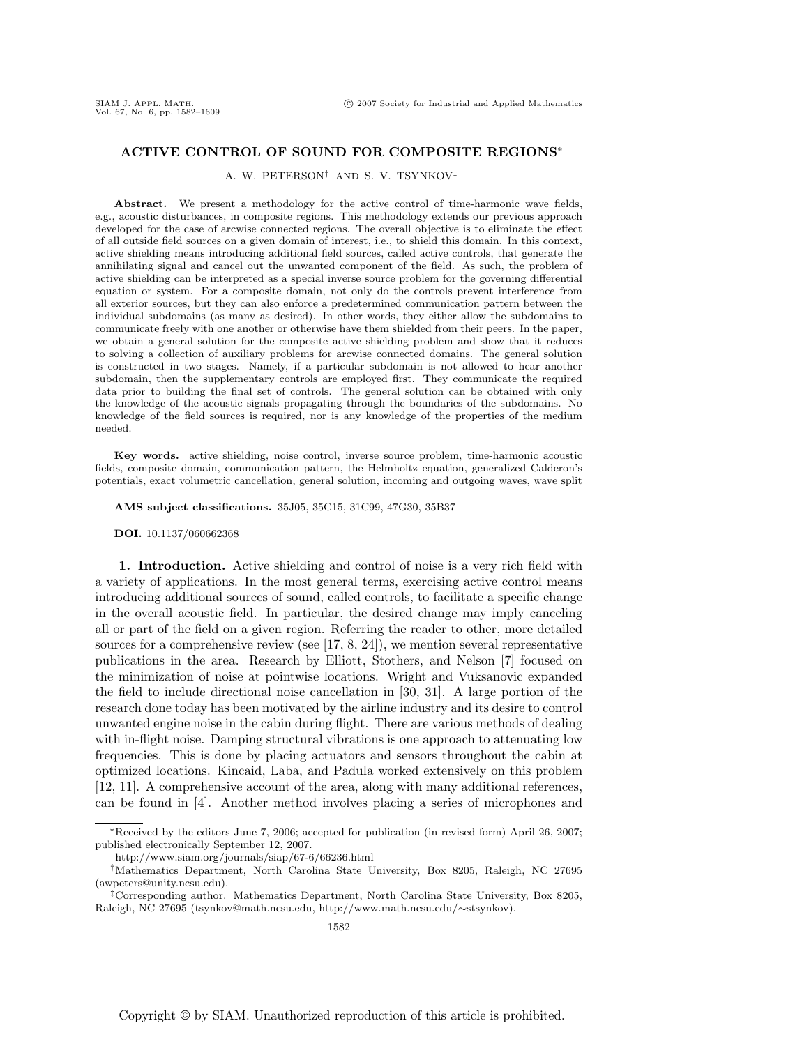# **ACTIVE CONTROL OF SOUND FOR COMPOSITE REGIONS**∗

A. W. PETERSON† AND S. V. TSYNKOV‡

**Abstract.** We present a methodology for the active control of time-harmonic wave fields, e.g., acoustic disturbances, in composite regions. This methodology extends our previous approach developed for the case of arcwise connected regions. The overall objective is to eliminate the effect of all outside field sources on a given domain of interest, i.e., to shield this domain. In this context, active shielding means introducing additional field sources, called active controls, that generate the annihilating signal and cancel out the unwanted component of the field. As such, the problem of active shielding can be interpreted as a special inverse source problem for the governing differential equation or system. For a composite domain, not only do the controls prevent interference from all exterior sources, but they can also enforce a predetermined communication pattern between the individual subdomains (as many as desired). In other words, they either allow the subdomains to communicate freely with one another or otherwise have them shielded from their peers. In the paper, we obtain a general solution for the composite active shielding problem and show that it reduces to solving a collection of auxiliary problems for arcwise connected domains. The general solution is constructed in two stages. Namely, if a particular subdomain is not allowed to hear another subdomain, then the supplementary controls are employed first. They communicate the required data prior to building the final set of controls. The general solution can be obtained with only the knowledge of the acoustic signals propagating through the boundaries of the subdomains. No knowledge of the field sources is required, nor is any knowledge of the properties of the medium needed.

**Key words.** active shielding, noise control, inverse source problem, time-harmonic acoustic fields, composite domain, communication pattern, the Helmholtz equation, generalized Calderon's potentials, exact volumetric cancellation, general solution, incoming and outgoing waves, wave split

**AMS subject classifications.** 35J05, 35C15, 31C99, 47G30, 35B37

#### **DOI.** 10.1137/060662368

**1. Introduction.** Active shielding and control of noise is a very rich field with a variety of applications. In the most general terms, exercising active control means introducing additional sources of sound, called controls, to facilitate a specific change in the overall acoustic field. In particular, the desired change may imply canceling all or part of the field on a given region. Referring the reader to other, more detailed sources for a comprehensive review (see  $[17, 8, 24]$ ), we mention several representative publications in the area. Research by Elliott, Stothers, and Nelson [7] focused on the minimization of noise at pointwise locations. Wright and Vuksanovic expanded the field to include directional noise cancellation in [30, 31]. A large portion of the research done today has been motivated by the airline industry and its desire to control unwanted engine noise in the cabin during flight. There are various methods of dealing with in-flight noise. Damping structural vibrations is one approach to attenuating low frequencies. This is done by placing actuators and sensors throughout the cabin at optimized locations. Kincaid, Laba, and Padula worked extensively on this problem [12, 11]. A comprehensive account of the area, along with many additional references, can be found in [4]. Another method involves placing a series of microphones and

<sup>∗</sup>Received by the editors June 7, 2006; accepted for publication (in revised form) April 26, 2007; published electronically September 12, 2007.

http://www.siam.org/journals/siap/67-6/66236.html

<sup>†</sup>Mathematics Department, North Carolina State University, Box 8205, Raleigh, NC 27695 (awpeters@unity.ncsu.edu).

<sup>‡</sup>Corresponding author. Mathematics Department, North Carolina State University, Box 8205, Raleigh, NC 27695 (tsynkov@math.ncsu.edu, http://www.math.ncsu.edu/∼stsynkov).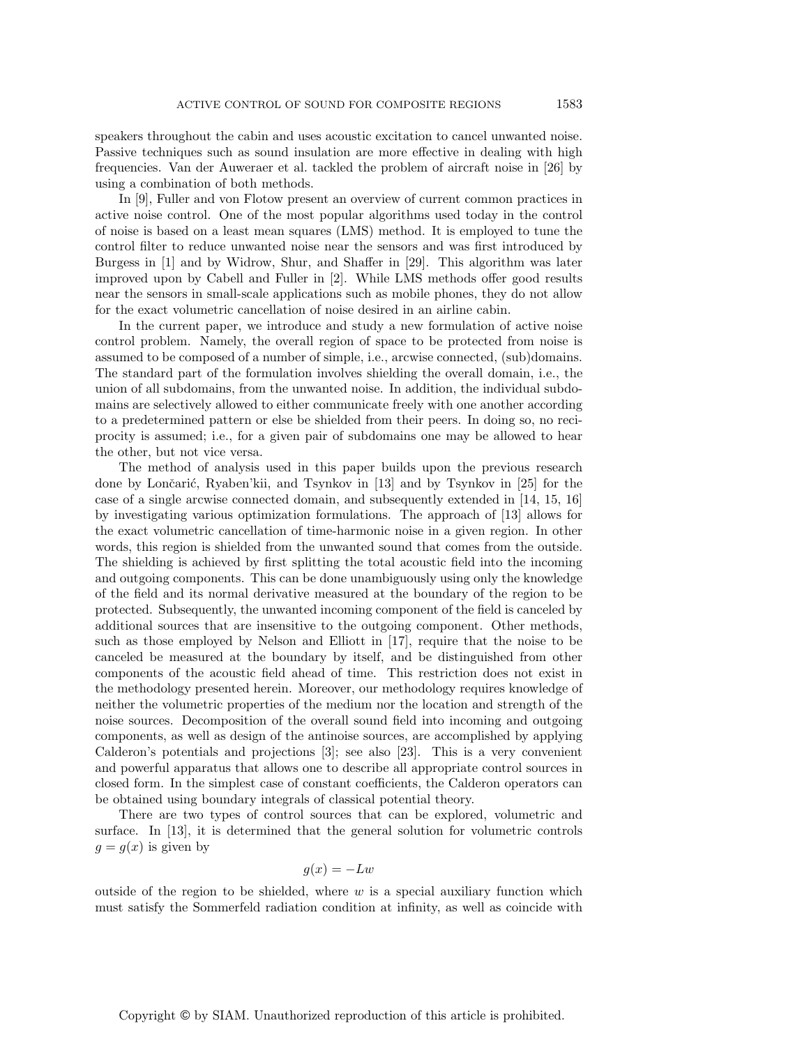speakers throughout the cabin and uses acoustic excitation to cancel unwanted noise. Passive techniques such as sound insulation are more effective in dealing with high frequencies. Van der Auweraer et al. tackled the problem of aircraft noise in [26] by using a combination of both methods.

In [9], Fuller and von Flotow present an overview of current common practices in active noise control. One of the most popular algorithms used today in the control of noise is based on a least mean squares (LMS) method. It is employed to tune the control filter to reduce unwanted noise near the sensors and was first introduced by Burgess in [1] and by Widrow, Shur, and Shaffer in [29]. This algorithm was later improved upon by Cabell and Fuller in [2]. While LMS methods offer good results near the sensors in small-scale applications such as mobile phones, they do not allow for the exact volumetric cancellation of noise desired in an airline cabin.

In the current paper, we introduce and study a new formulation of active noise control problem. Namely, the overall region of space to be protected from noise is assumed to be composed of a number of simple, i.e., arcwise connected, (sub)domains. The standard part of the formulation involves shielding the overall domain, i.e., the union of all subdomains, from the unwanted noise. In addition, the individual subdomains are selectively allowed to either communicate freely with one another according to a predetermined pattern or else be shielded from their peers. In doing so, no reciprocity is assumed; i.e., for a given pair of subdomains one may be allowed to hear the other, but not vice versa.

The method of analysis used in this paper builds upon the previous research done by Lončarić, Ryaben'kii, and Tsynkov in  $\vert 13 \vert$  and by Tsynkov in  $\vert 25 \vert$  for the case of a single arcwise connected domain, and subsequently extended in [14, 15, 16] by investigating various optimization formulations. The approach of [13] allows for the exact volumetric cancellation of time-harmonic noise in a given region. In other words, this region is shielded from the unwanted sound that comes from the outside. The shielding is achieved by first splitting the total acoustic field into the incoming and outgoing components. This can be done unambiguously using only the knowledge of the field and its normal derivative measured at the boundary of the region to be protected. Subsequently, the unwanted incoming component of the field is canceled by additional sources that are insensitive to the outgoing component. Other methods, such as those employed by Nelson and Elliott in [17], require that the noise to be canceled be measured at the boundary by itself, and be distinguished from other components of the acoustic field ahead of time. This restriction does not exist in the methodology presented herein. Moreover, our methodology requires knowledge of neither the volumetric properties of the medium nor the location and strength of the noise sources. Decomposition of the overall sound field into incoming and outgoing components, as well as design of the antinoise sources, are accomplished by applying Calderon's potentials and projections [3]; see also [23]. This is a very convenient and powerful apparatus that allows one to describe all appropriate control sources in closed form. In the simplest case of constant coefficients, the Calderon operators can be obtained using boundary integrals of classical potential theory.

There are two types of control sources that can be explored, volumetric and surface. In [13], it is determined that the general solution for volumetric controls  $q = q(x)$  is given by

$$
g(x) = -Lw
$$

outside of the region to be shielded, where  $w$  is a special auxiliary function which must satisfy the Sommerfeld radiation condition at infinity, as well as coincide with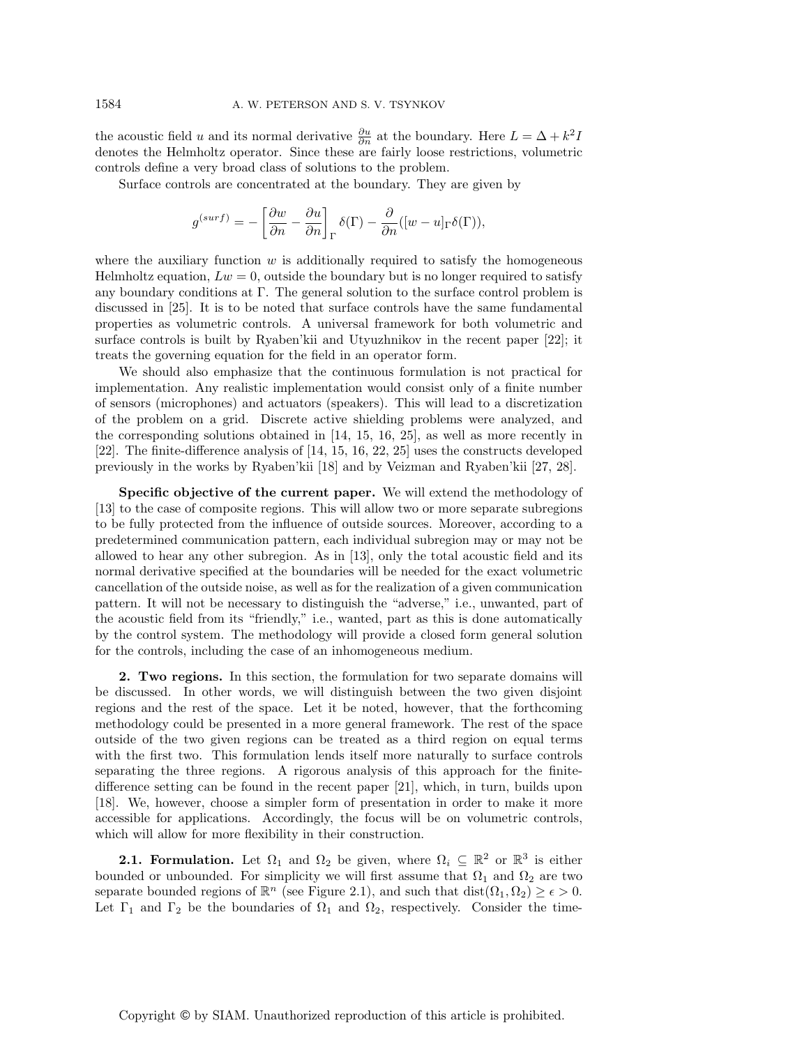the acoustic field u and its normal derivative  $\frac{\partial u}{\partial n}$  at the boundary. Here  $L = \Delta + k^2 I$ denotes the Helmholtz operator. Since these are fairly loose restrictions, volumetric controls define a very broad class of solutions to the problem.

Surface controls are concentrated at the boundary. They are given by

$$
g^{(surf)} = -\left[\frac{\partial w}{\partial n} - \frac{\partial u}{\partial n}\right]_{\Gamma} \delta(\Gamma) - \frac{\partial}{\partial n}([w - u]_{\Gamma} \delta(\Gamma)),
$$

where the auxiliary function  $w$  is additionally required to satisfy the homogeneous Helmholtz equation,  $Lw = 0$ , outside the boundary but is no longer required to satisfy any boundary conditions at Γ. The general solution to the surface control problem is discussed in [25]. It is to be noted that surface controls have the same fundamental properties as volumetric controls. A universal framework for both volumetric and surface controls is built by Ryaben'kii and Utyuzhnikov in the recent paper [22]; it treats the governing equation for the field in an operator form.

We should also emphasize that the continuous formulation is not practical for implementation. Any realistic implementation would consist only of a finite number of sensors (microphones) and actuators (speakers). This will lead to a discretization of the problem on a grid. Discrete active shielding problems were analyzed, and the corresponding solutions obtained in [14, 15, 16, 25], as well as more recently in [22]. The finite-difference analysis of [14, 15, 16, 22, 25] uses the constructs developed previously in the works by Ryaben'kii [18] and by Veizman and Ryaben'kii [27, 28].

**Specific objective of the current paper.** We will extend the methodology of [13] to the case of composite regions. This will allow two or more separate subregions to be fully protected from the influence of outside sources. Moreover, according to a predetermined communication pattern, each individual subregion may or may not be allowed to hear any other subregion. As in [13], only the total acoustic field and its normal derivative specified at the boundaries will be needed for the exact volumetric cancellation of the outside noise, as well as for the realization of a given communication pattern. It will not be necessary to distinguish the "adverse," i.e., unwanted, part of the acoustic field from its "friendly," i.e., wanted, part as this is done automatically by the control system. The methodology will provide a closed form general solution for the controls, including the case of an inhomogeneous medium.

**2. Two regions.** In this section, the formulation for two separate domains will be discussed. In other words, we will distinguish between the two given disjoint regions and the rest of the space. Let it be noted, however, that the forthcoming methodology could be presented in a more general framework. The rest of the space outside of the two given regions can be treated as a third region on equal terms with the first two. This formulation lends itself more naturally to surface controls separating the three regions. A rigorous analysis of this approach for the finitedifference setting can be found in the recent paper [21], which, in turn, builds upon [18]. We, however, choose a simpler form of presentation in order to make it more accessible for applications. Accordingly, the focus will be on volumetric controls, which will allow for more flexibility in their construction.

**2.1. Formulation.** Let  $\Omega_1$  and  $\Omega_2$  be given, where  $\Omega_i \subseteq \mathbb{R}^2$  or  $\mathbb{R}^3$  is either bounded or unbounded. For simplicity we will first assume that  $\Omega_1$  and  $\Omega_2$  are two separate bounded regions of  $\mathbb{R}^n$  (see Figure 2.1), and such that  $dist(\Omega_1, \Omega_2) \geq \epsilon > 0$ . Let  $\Gamma_1$  and  $\Gamma_2$  be the boundaries of  $\Omega_1$  and  $\Omega_2$ , respectively. Consider the time-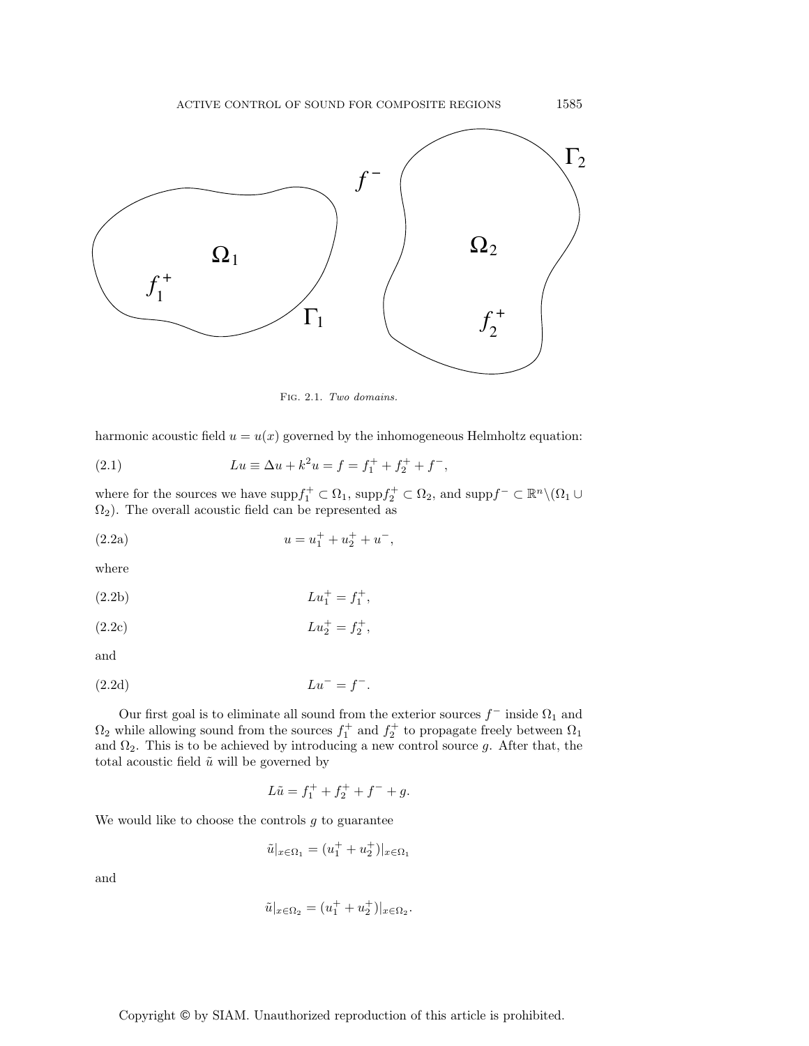

Fig. 2.1. Two domains.

harmonic acoustic field  $u = u(x)$  governed by the inhomogeneous Helmholtz equation:

(2.1) 
$$
Lu \equiv \Delta u + k^2 u = f = f_1^+ + f_2^+ + f^-,
$$

where for the sources we have  $\mathrm{supp} f_1^+ \subset \Omega_1$ ,  $\mathrm{supp} f_2^+ \subset \Omega_2$ , and  $\mathrm{supp} f^- \subset \mathbb{R}^n \setminus (\Omega_1 \cup$  $\Omega_2$ ). The overall acoustic field can be represented as

(2.2a) 
$$
u = u_1^+ + u_2^+ + u^-,
$$

where

(2.2b) 
$$
Lu_1^+ = f_1^+,
$$

(2.2c) 
$$
Lu_2^+ = f_2^+,
$$

and

$$
(2.2d) \t\t\t Lu^- = f^-.
$$

Our first goal is to eliminate all sound from the exterior sources  $f^-$  inside  $\Omega_1$  and  $\Omega_2$  while allowing sound from the sources  $f_1^+$  and  $f_2^+$  to propagate freely between  $\Omega_1$ and  $\Omega_2$ . This is to be achieved by introducing a new control source g. After that, the total acoustic field  $\tilde{u}$  will be governed by

$$
L\tilde{u} = f_1^+ + f_2^+ + f^- + g.
$$

We would like to choose the controls  $g$  to guarantee

$$
\tilde{u}|_{x \in \Omega_1} = (u_1^+ + u_2^+)|_{x \in \Omega_1}
$$

and

$$
\tilde{u}|_{x \in \Omega_2} = (u_1^+ + u_2^+)|_{x \in \Omega_2}.
$$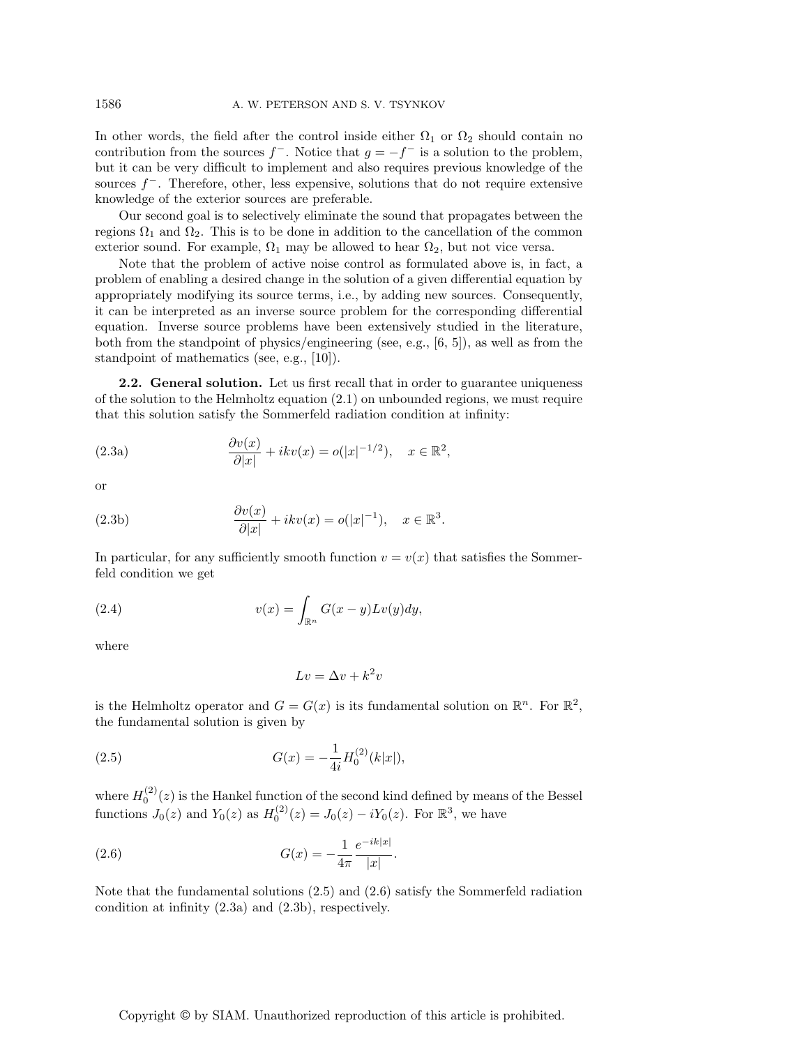In other words, the field after the control inside either  $\Omega_1$  or  $\Omega_2$  should contain no contribution from the sources  $f^-$ . Notice that  $g = -f^-$  is a solution to the problem, but it can be very difficult to implement and also requires previous knowledge of the sources  $f^-$ . Therefore, other, less expensive, solutions that do not require extensive knowledge of the exterior sources are preferable.

Our second goal is to selectively eliminate the sound that propagates between the regions  $\Omega_1$  and  $\Omega_2$ . This is to be done in addition to the cancellation of the common exterior sound. For example,  $\Omega_1$  may be allowed to hear  $\Omega_2$ , but not vice versa.

Note that the problem of active noise control as formulated above is, in fact, a problem of enabling a desired change in the solution of a given differential equation by appropriately modifying its source terms, i.e., by adding new sources. Consequently, it can be interpreted as an inverse source problem for the corresponding differential equation. Inverse source problems have been extensively studied in the literature, both from the standpoint of physics/engineering (see, e.g., [6, 5]), as well as from the standpoint of mathematics (see, e.g., [10]).

**2.2.** General solution. Let us first recall that in order to guarantee uniqueness of the solution to the Helmholtz equation  $(2.1)$  on unbounded regions, we must require that this solution satisfy the Sommerfeld radiation condition at infinity:

(2.3a) 
$$
\frac{\partial v(x)}{\partial |x|} + ikv(x) = o(|x|^{-1/2}), \quad x \in \mathbb{R}^2,
$$

or

(2.3b) 
$$
\frac{\partial v(x)}{\partial |x|} + ikv(x) = o(|x|^{-1}), \quad x \in \mathbb{R}^3.
$$

In particular, for any sufficiently smooth function  $v = v(x)$  that satisfies the Sommerfeld condition we get

(2.4) 
$$
v(x) = \int_{\mathbb{R}^n} G(x - y) L v(y) dy,
$$

where

$$
Lv = \Delta v + k^2 v
$$

is the Helmholtz operator and  $G = G(x)$  is its fundamental solution on  $\mathbb{R}^n$ . For  $\mathbb{R}^2$ , the fundamental solution is given by

(2.5) 
$$
G(x) = -\frac{1}{4i}H_0^{(2)}(k|x|),
$$

where  $H_0^{(2)}(z)$  is the Hankel function of the second kind defined by means of the Bessel functions  $J_0(z)$  and  $Y_0(z)$  as  $H_0^{(2)}(z) = J_0(z) - iY_0(z)$ . For  $\mathbb{R}^3$ , we have

(2.6) 
$$
G(x) = -\frac{1}{4\pi} \frac{e^{-ik|x|}}{|x|}.
$$

Note that the fundamental solutions (2.5) and (2.6) satisfy the Sommerfeld radiation condition at infinity (2.3a) and (2.3b), respectively.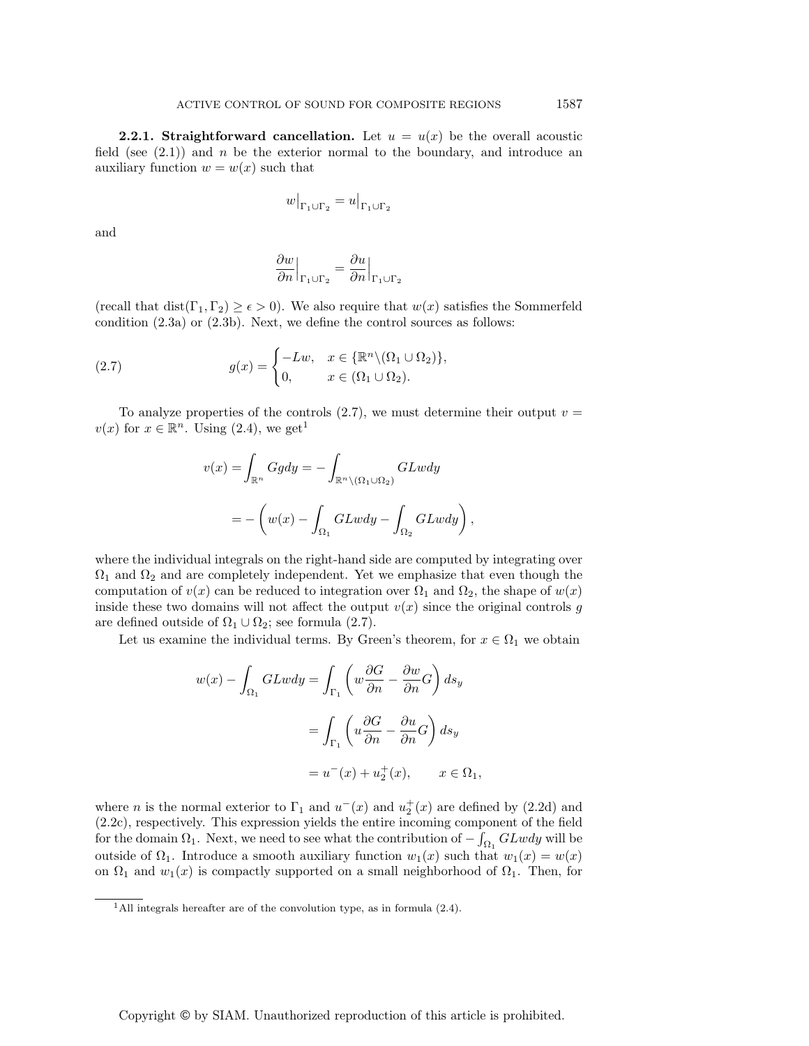**2.2.1. Straightforward cancellation.** Let  $u = u(x)$  be the overall acoustic field (see  $(2.1)$ ) and n be the exterior normal to the boundary, and introduce an auxiliary function  $w = w(x)$  such that

$$
w\big|_{\Gamma_1\cup\Gamma_2} = u\big|_{\Gamma_1\cup\Gamma_2}
$$

and

$$
\left. \frac{\partial w}{\partial n} \right|_{\Gamma_1 \cup \Gamma_2} = \frac{\partial u}{\partial n} \Big|_{\Gamma_1 \cup \Gamma_2}
$$

(recall that dist( $\Gamma_1, \Gamma_2 \ge \epsilon > 0$ ). We also require that  $w(x)$  satisfies the Sommerfeld condition (2.3a) or (2.3b). Next, we define the control sources as follows:

(2.7) 
$$
g(x) = \begin{cases} -Lw, & x \in \{\mathbb{R}^n \setminus (\Omega_1 \cup \Omega_2)\}, \\ 0, & x \in (\Omega_1 \cup \Omega_2). \end{cases}
$$

To analyze properties of the controls  $(2.7)$ , we must determine their output  $v =$  $v(x)$  for  $x \in \mathbb{R}^n$ . Using  $(2.4)$ , we get<sup>1</sup>

$$
v(x) = \int_{\mathbb{R}^n} Ggdy = -\int_{\mathbb{R}^n \setminus (\Omega_1 \cup \Omega_2)} GLwdy
$$

$$
= -\left(w(x) - \int_{\Omega_1} GLwdy - \int_{\Omega_2} GLwdy\right)
$$

,

where the individual integrals on the right-hand side are computed by integrating over  $\Omega_1$  and  $\Omega_2$  and are completely independent. Yet we emphasize that even though the computation of  $v(x)$  can be reduced to integration over  $\Omega_1$  and  $\Omega_2$ , the shape of  $w(x)$ inside these two domains will not affect the output  $v(x)$  since the original controls g are defined outside of  $\Omega_1 \cup \Omega_2$ ; see formula (2.7).

Let us examine the individual terms. By Green's theorem, for  $x \in \Omega_1$  we obtain

$$
w(x) - \int_{\Omega_1} GLwdy = \int_{\Gamma_1} \left( w \frac{\partial G}{\partial n} - \frac{\partial w}{\partial n} G \right) ds_y
$$
  
= 
$$
\int_{\Gamma_1} \left( u \frac{\partial G}{\partial n} - \frac{\partial u}{\partial n} G \right) ds_y
$$
  
= 
$$
u^-(x) + u^+_2(x), \qquad x \in \Omega_1,
$$

where *n* is the normal exterior to  $\Gamma_1$  and  $u^-(x)$  and  $u^+_2(x)$  are defined by (2.2d) and (2.2c), respectively. This expression yields the entire incoming component of the field for the domain  $\Omega_1$ . Next, we need to see what the contribution of  $-\int_{\Omega_1} GLwdy$  will be outside of  $\Omega_1$ . Introduce a smooth auxiliary function  $w_1(x)$  such that  $w_1(x) = w(x)$ on  $\Omega_1$  and  $w_1(x)$  is compactly supported on a small neighborhood of  $\Omega_1$ . Then, for

<sup>&</sup>lt;sup>1</sup>All integrals hereafter are of the convolution type, as in formula  $(2.4)$ .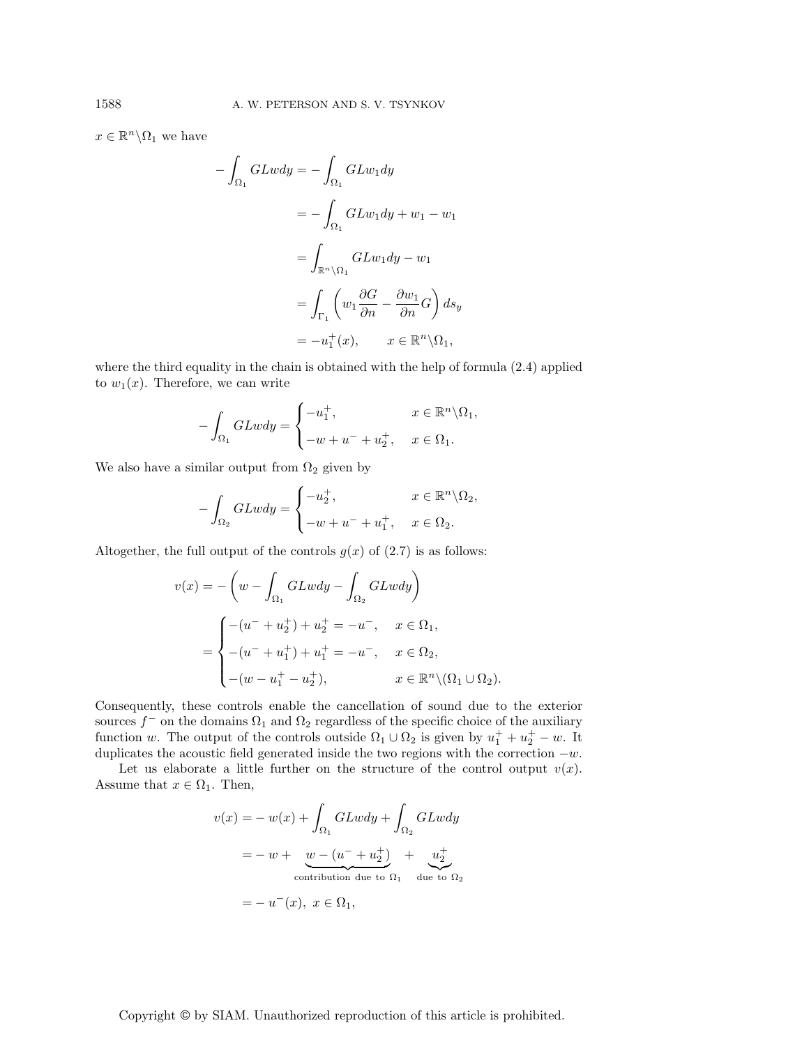$x \in \mathbb{R}^n \backslash \Omega_1$  we have

$$
\int_{\Omega_1} GLwdy = -\int_{\Omega_1} GLw_1 dy
$$

$$
= -\int_{\Omega_1} GLw_1 dy + w_1 - w_1
$$

$$
= \int_{\mathbb{R}^n \setminus \Omega_1} GLw_1 dy - w_1
$$

$$
= \int_{\Gamma_1} \left( w_1 \frac{\partial G}{\partial n} - \frac{\partial w_1}{\partial n} G \right) ds_y
$$

$$
= -u_1^+(x), \qquad x \in \mathbb{R}^n \setminus \Omega_1,
$$

where the third equality in the chain is obtained with the help of formula (2.4) applied to  $w_1(x)$ . Therefore, we can write

$$
-\int_{\Omega_1} GLwdy = \begin{cases} -u_1^+, & x \in \mathbb{R}^n \backslash \Omega_1, \\ -w + u^- + u_2^+, & x \in \Omega_1. \end{cases}
$$

We also have a similar output from  $\Omega_2$  given by

−

 $\overline{1}$ 

$$
-\int_{\Omega_2} GLwdy = \begin{cases} -u_2^+, & x \in \mathbb{R}^n \backslash \Omega_2, \\ -w + u^- + u_1^+, & x \in \Omega_2. \end{cases}
$$

Altogether, the full output of the controls  $g(x)$  of  $(2.7)$  is as follows:

$$
v(x) = -\left(w - \int_{\Omega_1} GLwdy - \int_{\Omega_2} GLwdy\right)
$$
  
= 
$$
\begin{cases} -(u^- + u_2^+) + u_2^+ = -u^-, & x \in \Omega_1, \\ -(u^- + u_1^+) + u_1^+ = -u^-, & x \in \Omega_2, \\ -(w - u_1^+ - u_2^+), & x \in \mathbb{R}^n \setminus (\Omega_1 \cup \Omega_2). \end{cases}
$$

Consequently, these controls enable the cancellation of sound due to the exterior sources  $f^-$  on the domains  $\Omega_1$  and  $\Omega_2$  regardless of the specific choice of the auxiliary function w. The output of the controls outside  $\Omega_1 \cup \Omega_2$  is given by  $u_1^+ + u_2^+ - w$ . It duplicates the acoustic field generated inside the two regions with the correction  $-w$ .

Let us elaborate a little further on the structure of the control output  $v(x)$ . Assume that  $x \in \Omega_1$ . Then,

$$
v(x) = -w(x) + \int_{\Omega_1} GLwdy + \int_{\Omega_2} GLwdy
$$
  
=  $-w + \underbrace{w - (u^{-} + u_{2}^{+})}_{\text{contribution due to } \Omega_1} + \underbrace{u_{2}^{+}}_{\text{due to } \Omega_2}$   
=  $-u^{-}(x), x \in \Omega_1,$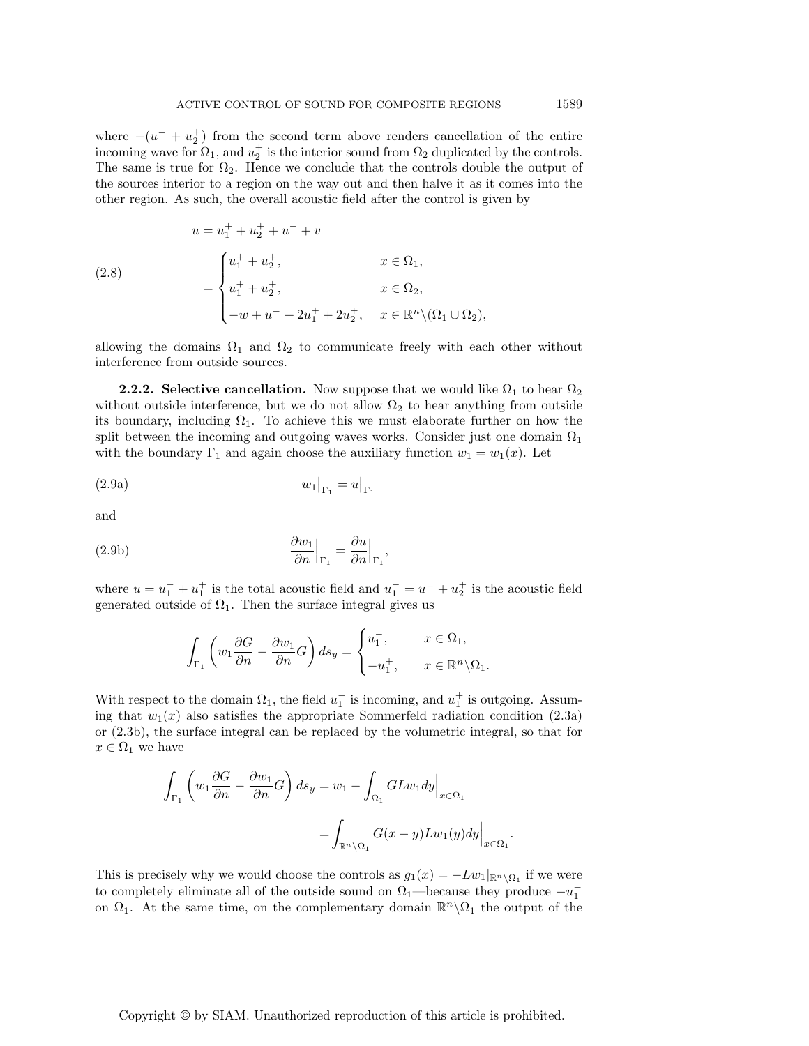where  $-(u^{-} + u_{2}^{+})$  from the second term above renders cancellation of the entire incoming wave for  $\Omega_1$ , and  $u_2^+$  is the interior sound from  $\Omega_2$  duplicated by the controls. The same is true for  $\Omega_2$ . Hence we conclude that the controls double the output of the sources interior to a region on the way out and then halve it as it comes into the other region. As such, the overall acoustic field after the control is given by

(2.8)  
\n
$$
u = u_1^+ + u_2^+ + u^- + v
$$
\n
$$
= \begin{cases}\nu_1^+ + u_2^+, & x \in \Omega_1, \\
u_1^+ + u_2^+, & x \in \Omega_2, \\
-u + u^- + 2u_1^+ + 2u_2^+, & x \in \mathbb{R}^n \setminus (\Omega_1 \cup \Omega_2),\n\end{cases}
$$

allowing the domains  $\Omega_1$  and  $\Omega_2$  to communicate freely with each other without interference from outside sources.

**2.2.2.** Selective cancellation. Now suppose that we would like  $\Omega_1$  to hear  $\Omega_2$ without outside interference, but we do not allow  $\Omega_2$  to hear anything from outside its boundary, including  $\Omega_1$ . To achieve this we must elaborate further on how the split between the incoming and outgoing waves works. Consider just one domain  $\Omega_1$ with the boundary  $\Gamma_1$  and again choose the auxiliary function  $w_1 = w_1(x)$ . Let

$$
(2.9a) \t\t\t w_1\big|_{\Gamma_1} = u\big|_{\Gamma_1}
$$

and

(2.9b) 
$$
\frac{\partial w_1}{\partial n}\Big|_{\Gamma_1} = \frac{\partial u}{\partial n}\Big|_{\Gamma_1},
$$

where  $u = u_1^- + u_1^+$  is the total acoustic field and  $u_1^- = u^- + u_2^+$  is the acoustic field generated outside of  $\Omega_1$ . Then the surface integral gives us

$$
\int_{\Gamma_1} \left( w_1 \frac{\partial G}{\partial n} - \frac{\partial w_1}{\partial n} G \right) ds_y = \begin{cases} u_1^-, & x \in \Omega_1, \\ -u_1^+, & x \in \mathbb{R}^n \backslash \Omega_1. \end{cases}
$$

With respect to the domain  $\Omega_1$ , the field  $u_1^-$  is incoming, and  $u_1^+$  is outgoing. Assuming that  $w_1(x)$  also satisfies the appropriate Sommerfeld radiation condition (2.3a) or (2.3b), the surface integral can be replaced by the volumetric integral, so that for  $x \in \Omega_1$  we have

$$
\int_{\Gamma_1} \left( w_1 \frac{\partial G}{\partial n} - \frac{\partial w_1}{\partial n} G \right) ds_y = w_1 - \int_{\Omega_1} GLw_1 dy \Big|_{x \in \Omega_1}
$$

$$
= \int_{\mathbb{R}^n \setminus \Omega_1} G(x - y) Lw_1(y) dy \Big|_{x \in \Omega_1}.
$$

This is precisely why we would choose the controls as  $g_1(x) = -Lw_1|_{\mathbb{R}^n \setminus \Omega_1}$  if we were to completely eliminate all of the outside sound on  $\Omega_1$ —because they produce  $-u_1^$ on  $\Omega_1$ . At the same time, on the complementary domain  $\mathbb{R}^n \setminus \Omega_1$  the output of the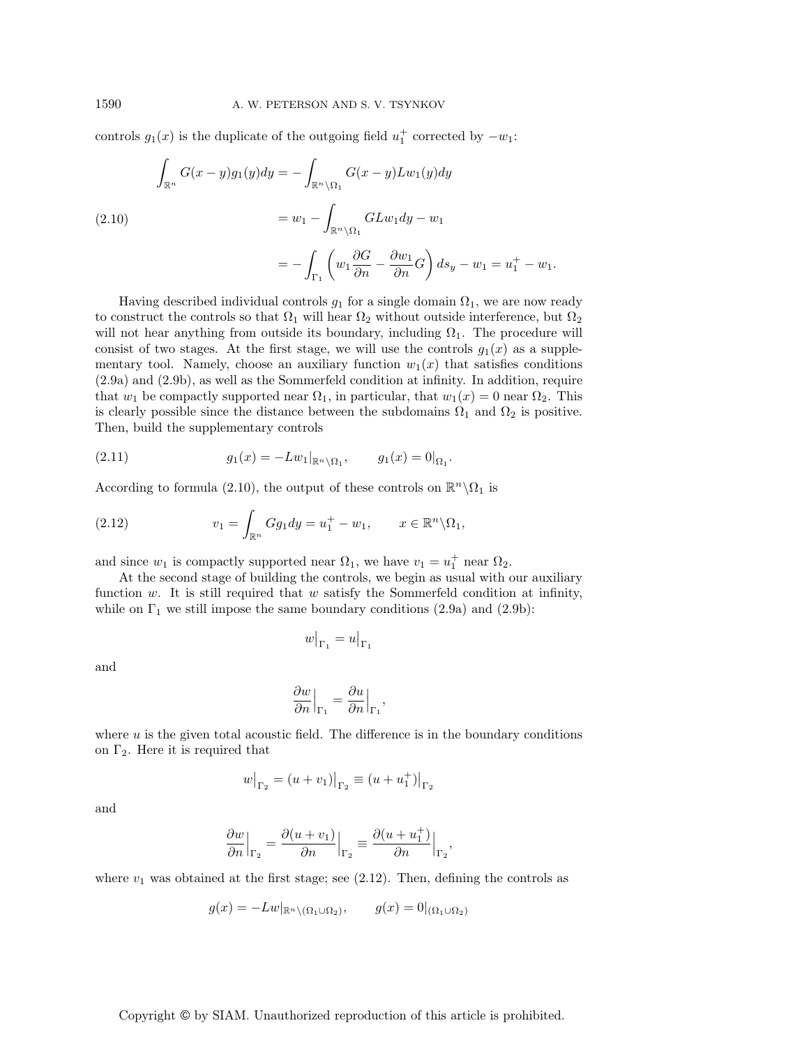controls  $g_1(x)$  is the duplicate of the outgoing field  $u_1^+$  corrected by  $-w_1$ :

(2.10)  

$$
\int_{\mathbb{R}^n} G(x - y)g_1(y)dy = -\int_{\mathbb{R}^n \setminus \Omega_1} G(x - y)Lw_1(y)dy
$$

$$
= w_1 - \int_{\mathbb{R}^n \setminus \Omega_1} GLw_1 dy - w_1
$$

$$
= -\int_{\Gamma_1} \left( w_1 \frac{\partial G}{\partial n} - \frac{\partial w_1}{\partial n} G \right) ds_y - w_1 = u_1^+ - w_1.
$$

Having described individual controls  $g_1$  for a single domain  $\Omega_1$ , we are now ready to construct the controls so that  $\Omega_1$  will hear  $\Omega_2$  without outside interference, but  $\Omega_2$ will not hear anything from outside its boundary, including  $\Omega_1$ . The procedure will consist of two stages. At the first stage, we will use the controls  $g_1(x)$  as a supplementary tool. Namely, choose an auxiliary function  $w_1(x)$  that satisfies conditions (2.9a) and (2.9b), as well as the Sommerfeld condition at infinity. In addition, require that  $w_1$  be compactly supported near  $\Omega_1$ , in particular, that  $w_1(x) = 0$  near  $\Omega_2$ . This is clearly possible since the distance between the subdomains  $\Omega_1$  and  $\Omega_2$  is positive. Then, build the supplementary controls

(2.11) 
$$
g_1(x) = -Lw_1|_{\mathbb{R}^n \setminus \Omega_1}, \qquad g_1(x) = 0|_{\Omega_1}.
$$

According to formula (2.10), the output of these controls on  $\mathbb{R}^n \backslash \Omega_1$  is

(2.12) 
$$
v_1 = \int_{\mathbb{R}^n} Gg_1 dy = u_1^+ - w_1, \qquad x \in \mathbb{R}^n \backslash \Omega_1,
$$

and since  $w_1$  is compactly supported near  $\Omega_1$ , we have  $v_1 = u_1^+$  near  $\Omega_2$ .

At the second stage of building the controls, we begin as usual with our auxiliary function w. It is still required that w satisfy the Sommerfeld condition at infinity, while on  $\Gamma_1$  we still impose the same boundary conditions (2.9a) and (2.9b):

$$
w\big|_{\Gamma_1} = u\big|_{\Gamma_1}
$$

and

$$
\left.\frac{\partial w}{\partial n}\right|_{\Gamma_1} = \frac{\partial u}{\partial n}\Big|_{\Gamma_1},
$$

where  $u$  is the given total acoustic field. The difference is in the boundary conditions on  $\Gamma_2$ . Here it is required that

$$
w|_{\Gamma_2} = (u + v_1)|_{\Gamma_2} \equiv (u + u_1^+)|_{\Gamma_2}
$$

and

$$
\frac{\partial w}{\partial n}\Big|_{\Gamma_2}=\frac{\partial (u+v_1)}{\partial n}\Big|_{\Gamma_2}\equiv \frac{\partial (u+u_1^+)}{\partial n}\Big|_{\Gamma_2},
$$

where  $v_1$  was obtained at the first stage; see (2.12). Then, defining the controls as

$$
g(x) = -Lw|_{\mathbb{R}^n \setminus (\Omega_1 \cup \Omega_2)}, \qquad g(x) = 0|_{(\Omega_1 \cup \Omega_2)}
$$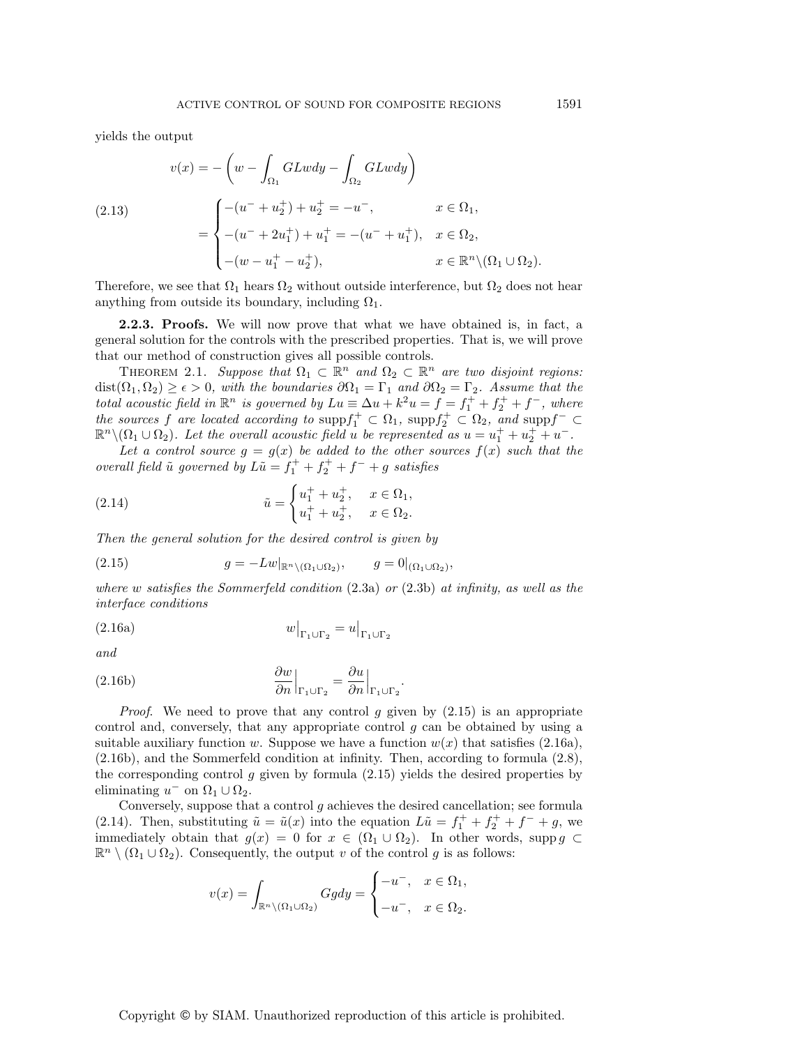yields the output

(2.13)  

$$
v(x) = -\left(w - \int_{\Omega_1} GLwdy - \int_{\Omega_2} GLwdy\right)
$$

$$
= \begin{cases} -(u^- + u_2^+) + u_2^+ = -u^-, & x \in \Omega_1, \\ -(u^- + 2u_1^+) + u_1^+ = -(u^- + u_1^+), & x \in \Omega_2, \\ -(w - u_1^+ - u_2^+), & x \in \mathbb{R}^n \setminus (\Omega_1 \cup \Omega_2). \end{cases}
$$

Therefore, we see that  $\Omega_1$  hears  $\Omega_2$  without outside interference, but  $\Omega_2$  does not hear anything from outside its boundary, including  $\Omega_1$ .

**2.2.3. Proofs.** We will now prove that what we have obtained is, in fact, a general solution for the controls with the prescribed properties. That is, we will prove that our method of construction gives all possible controls.

THEOREM 2.1. Suppose that  $\Omega_1 \subset \mathbb{R}^n$  and  $\Omega_2 \subset \mathbb{R}^n$  are two disjoint regions:  $dist(\Omega_1, \Omega_2) \geq \epsilon > 0$ , with the boundaries  $\partial \Omega_1 = \Gamma_1$  and  $\partial \Omega_2 = \Gamma_2$ . Assume that the total acoustic field in  $\mathbb{R}^n$  is governed by  $Lu \equiv \Delta u + k^2 u = f = f_1^+ + f_2^+ + f^-$ , where the sources f are located according to  $\text{supp} f_1^+ \subset \Omega_1$ ,  $\text{supp} f_2^+ \subset \Omega_2$ , and  $\text{supp} f^- \subset \Omega_1$  $\mathbb{R}^n \setminus (\Omega_1 \cup \Omega_2)$ . Let the overall acoustic field u be represented as  $u = u_1^+ + u_2^+ + u_-^-.$ 

Let a control source  $g = g(x)$  be added to the other sources  $f(x)$  such that the overall field  $\tilde{u}$  governed by  $L\tilde{u} = f_1^+ + f_2^+ + f^- + g$  satisfies

(2.14) 
$$
\tilde{u} = \begin{cases} u_1^+ + u_2^+, & x \in \Omega_1, \\ u_1^+ + u_2^+, & x \in \Omega_2. \end{cases}
$$

Then the general solution for the desired control is given by

(2.15) 
$$
g = -Lw|_{\mathbb{R}^n \setminus (\Omega_1 \cup \Omega_2)}, \qquad g = 0|_{(\Omega_1 \cup \Omega_2)},
$$

where w satisfies the Sommerfeld condition  $(2.3a)$  or  $(2.3b)$  at infinity, as well as the interface conditions

$$
(2.16a) \t\t\t w|_{\Gamma_1 \cup \Gamma_2} = u|_{\Gamma_1 \cup \Gamma_2}
$$

and

(2.16b) 
$$
\frac{\partial w}{\partial n}\Big|_{\Gamma_1 \cup \Gamma_2} = \frac{\partial u}{\partial n}\Big|_{\Gamma_1 \cup \Gamma_2}.
$$

*Proof.* We need to prove that any control  $q$  given by  $(2.15)$  is an appropriate control and, conversely, that any appropriate control g can be obtained by using a suitable auxiliary function w. Suppose we have a function  $w(x)$  that satisfies (2.16a), (2.16b), and the Sommerfeld condition at infinity. Then, according to formula (2.8), the corresponding control g given by formula (2.15) yields the desired properties by eliminating  $u^-$  on  $\Omega_1 \cup \Omega_2$ .

Conversely, suppose that a control  $g$  achieves the desired cancellation; see formula (2.14). Then, substituting  $\tilde{u} = \tilde{u}(x)$  into the equation  $L\tilde{u} = f_1^+ + f_2^+ + f^- + g$ , we immediately obtain that  $g(x) = 0$  for  $x \in (\Omega_1 \cup \Omega_2)$ . In other words, supp  $g \subset$  $\mathbb{R}^n \setminus (\Omega_1 \cup \Omega_2)$ . Consequently, the output v of the control g is as follows:

$$
v(x) = \int_{\mathbb{R}^n \setminus (\Omega_1 \cup \Omega_2)} Gg dy = \begin{cases} -u^-, & x \in \Omega_1, \\ -u^-, & x \in \Omega_2. \end{cases}
$$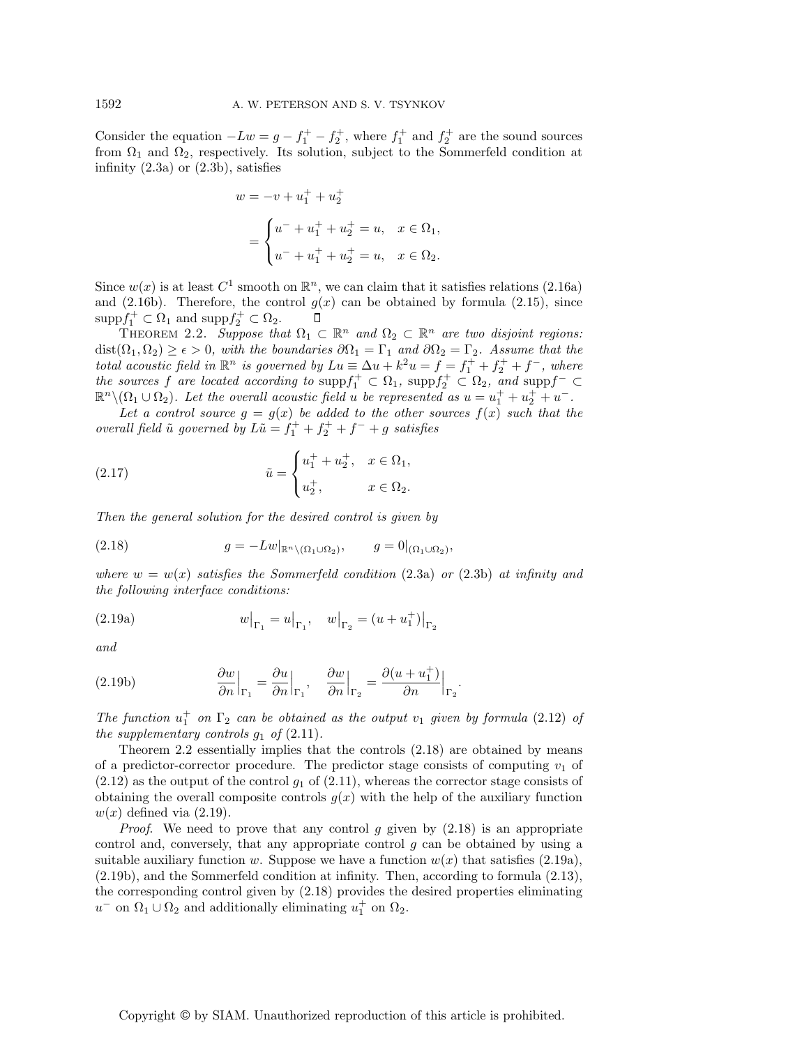Consider the equation  $-Lw = g - f_1^+ - f_2^+$ , where  $f_1^+$  and  $f_2^+$  are the sound sources from  $\Omega_1$  and  $\Omega_2$ , respectively. Its solution, subject to the Sommerfeld condition at infinity  $(2.3a)$  or  $(2.3b)$ , satisfies

$$
w = -v + u_1^+ + u_2^+
$$
  
= 
$$
\begin{cases} u^- + u_1^+ + u_2^+ = u, & x \in \Omega_1, \\ u^- + u_1^+ + u_2^+ = u, & x \in \Omega_2. \end{cases}
$$

Since  $w(x)$  is at least  $C^1$  smooth on  $\mathbb{R}^n$ , we can claim that it satisfies relations (2.16a) and (2.16b). Therefore, the control  $g(x)$  can be obtained by formula (2.15), since  $\mathrm{supp} f_1^+ \subset \Omega_1$  and  $\mathrm{supp} f_2^+ \subset \Omega_2$ .  $\Box$ 

THEOREM 2.2. Suppose that  $\Omega_1 \subset \mathbb{R}^n$  and  $\Omega_2 \subset \mathbb{R}^n$  are two disjoint regions:  $dist(\Omega_1, \Omega_2) \geq \epsilon > 0$ , with the boundaries  $\partial \Omega_1 = \Gamma_1$  and  $\partial \Omega_2 = \Gamma_2$ . Assume that the total acoustic field in  $\mathbb{R}^n$  is governed by  $Lu \equiv \Delta u + k^2 u = f = f_1^+ + f_2^+ + f^-$ , where the sources f are located according to  $\text{supp} f_1^+ \subset \Omega_1$ ,  $\text{supp} f_2^+ \subset \Omega_2$ , and  $\text{supp} f^- \subset \Omega_1$  $\mathbb{R}^n \setminus (\Omega_1 \cup \Omega_2)$ . Let the overall acoustic field u be represented as  $u = u_1^+ + u_2^+ + u_-^-.$ 

Let a control source  $g = g(x)$  be added to the other sources  $f(x)$  such that the overall field  $\tilde{u}$  governed by  $L\tilde{u} = f_1^+ + f_2^+ + f^- + g$  satisfies

(2.17) 
$$
\tilde{u} = \begin{cases} u_1^+ + u_2^+, & x \in \Omega_1, \\ u_2^+, & x \in \Omega_2. \end{cases}
$$

Then the general solution for the desired control is given by

(2.18) 
$$
g = -Lw|_{\mathbb{R}^n \setminus (\Omega_1 \cup \Omega_2)}, \qquad g = 0|_{(\Omega_1 \cup \Omega_2)},
$$

where  $w = w(x)$  satisfies the Sommerfeld condition (2.3a) or (2.3b) at infinity and the following interface conditions:

(2.19a) 
$$
w|_{\Gamma_1} = u|_{\Gamma_1}, \quad w|_{\Gamma_2} = (u + u_1^+)|_{\Gamma_2}
$$

and

(2.19b) 
$$
\frac{\partial w}{\partial n}\Big|_{\Gamma_1} = \frac{\partial u}{\partial n}\Big|_{\Gamma_1}, \quad \frac{\partial w}{\partial n}\Big|_{\Gamma_2} = \frac{\partial (u + u_1^+)}{\partial n}\Big|_{\Gamma_2}.
$$

The function  $u_1^+$  on  $\Gamma_2$  can be obtained as the output  $v_1$  given by formula (2.12) of the supplementary controls  $g_1$  of  $(2.11)$ .

Theorem 2.2 essentially implies that the controls (2.18) are obtained by means of a predictor-corrector procedure. The predictor stage consists of computing  $v_1$  of  $(2.12)$  as the output of the control  $g_1$  of  $(2.11)$ , whereas the corrector stage consists of obtaining the overall composite controls  $g(x)$  with the help of the auxiliary function  $w(x)$  defined via  $(2.19)$ .

*Proof.* We need to prove that any control g given by  $(2.18)$  is an appropriate control and, conversely, that any appropriate control g can be obtained by using a suitable auxiliary function w. Suppose we have a function  $w(x)$  that satisfies (2.19a), (2.19b), and the Sommerfeld condition at infinity. Then, according to formula (2.13), the corresponding control given by (2.18) provides the desired properties eliminating  $u^-$  on  $\Omega_1 \cup \Omega_2$  and additionally eliminating  $u_1^+$  on  $\Omega_2$ .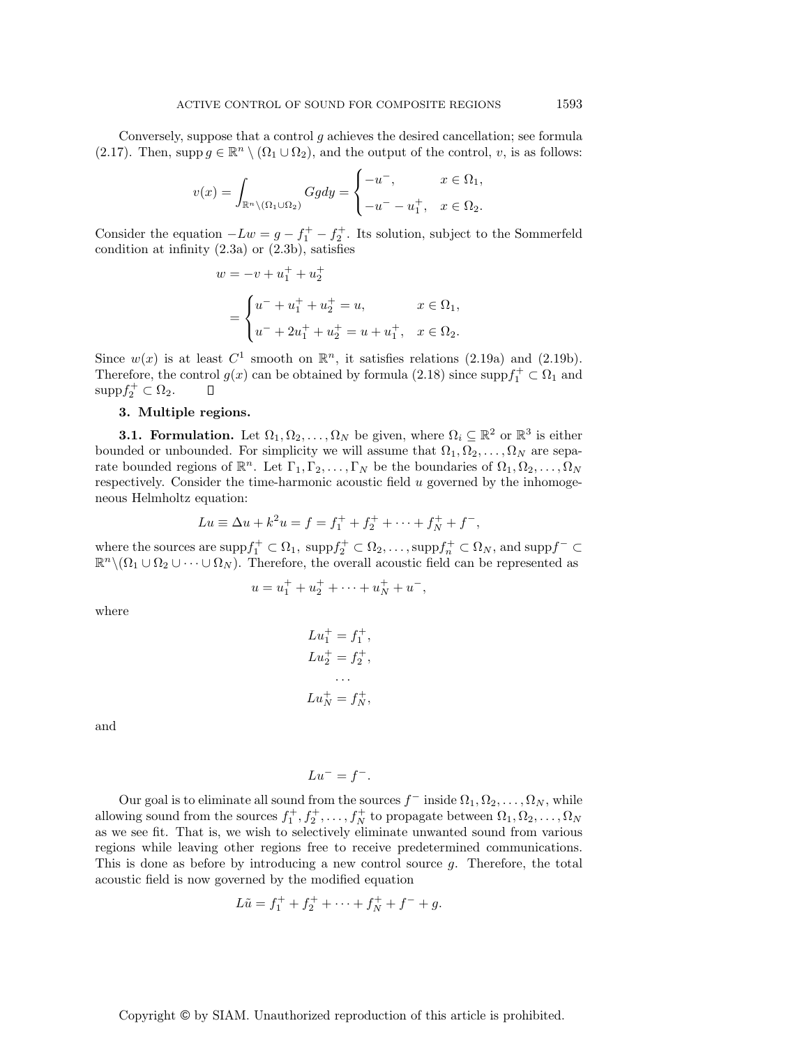Conversely, suppose that a control  $g$  achieves the desired cancellation; see formula (2.17). Then, supp  $g \in \mathbb{R}^n \setminus (\Omega_1 \cup \Omega_2)$ , and the output of the control, v, is as follows:

$$
v(x) = \int_{\mathbb{R}^n \setminus (\Omega_1 \cup \Omega_2)} Gg dy = \begin{cases} -u^-, & x \in \Omega_1, \\ -u^- - u_1^+, & x \in \Omega_2. \end{cases}
$$

Consider the equation  $-Lw = g - f_1^+ - f_2^+$ . Its solution, subject to the Sommerfeld condition at infinity (2.3a) or (2.3b), satisfies

$$
w = -v + u_1^+ + u_2^+
$$
  
= 
$$
\begin{cases} u^- + u_1^+ + u_2^+ = u, & x \in \Omega_1, \\ u^- + 2u_1^+ + u_2^+ = u + u_1^+, & x \in \Omega_2. \end{cases}
$$

Since  $w(x)$  is at least  $C^1$  smooth on  $\mathbb{R}^n$ , it satisfies relations (2.19a) and (2.19b). Therefore, the control  $g(x)$  can be obtained by formula (2.18) since  $\text{supp} f_1^+ \subset \Omega_1$  and  $\text{supp} f_2^+ \subset \Omega_2.$  $\Box$ 

# **3. Multiple regions.**

**3.1. Formulation.** Let  $\Omega_1, \Omega_2, \ldots, \Omega_N$  be given, where  $\Omega_i \subseteq \mathbb{R}^2$  or  $\mathbb{R}^3$  is either bounded or unbounded. For simplicity we will assume that  $\Omega_1, \Omega_2, \ldots, \Omega_N$  are separate bounded regions of  $\mathbb{R}^n$ . Let  $\Gamma_1, \Gamma_2, \ldots, \Gamma_N$  be the boundaries of  $\Omega_1, \Omega_2, \ldots, \Omega_N$ respectively. Consider the time-harmonic acoustic field  $u$  governed by the inhomogeneous Helmholtz equation:

$$
Lu \equiv \Delta u + k^2 u = f = f_1^+ + f_2^+ + \dots + f_N^+ + f^-,
$$

where the sources are  $\text{supp} f_1^+ \subset \Omega_1$ ,  $\text{supp} f_2^+ \subset \Omega_2, \ldots, \text{supp} f_n^+ \subset \Omega_N$ , and  $\text{supp} f^- \subset$  $\mathbb{R}^n \setminus (\Omega_1 \cup \Omega_2 \cup \cdots \cup \Omega_N)$ . Therefore, the overall acoustic field can be represented as

$$
u = u_1^+ + u_2^+ + \dots + u_N^+ + u^-,
$$

where

$$
Lu_1^+ = f_1^+,
$$
  
\n
$$
Lu_2^+ = f_2^+,
$$
  
\n...  
\n
$$
Lu_N^+ = f_N^+,
$$

and

$$
Lu^- = f^-.
$$

Our goal is to eliminate all sound from the sources  $f^-$  inside  $\Omega_1, \Omega_2, \ldots, \Omega_N$ , while allowing sound from the sources  $f_1^+, f_2^+, \ldots, f_N^+$  to propagate between  $\Omega_1, \Omega_2, \ldots, \Omega_N$ as we see fit. That is, we wish to selectively eliminate unwanted sound from various regions while leaving other regions free to receive predetermined communications. This is done as before by introducing a new control source g. Therefore, the total acoustic field is now governed by the modified equation

$$
L\tilde{u} = f_1^+ + f_2^+ + \dots + f_N^+ + f^- + g.
$$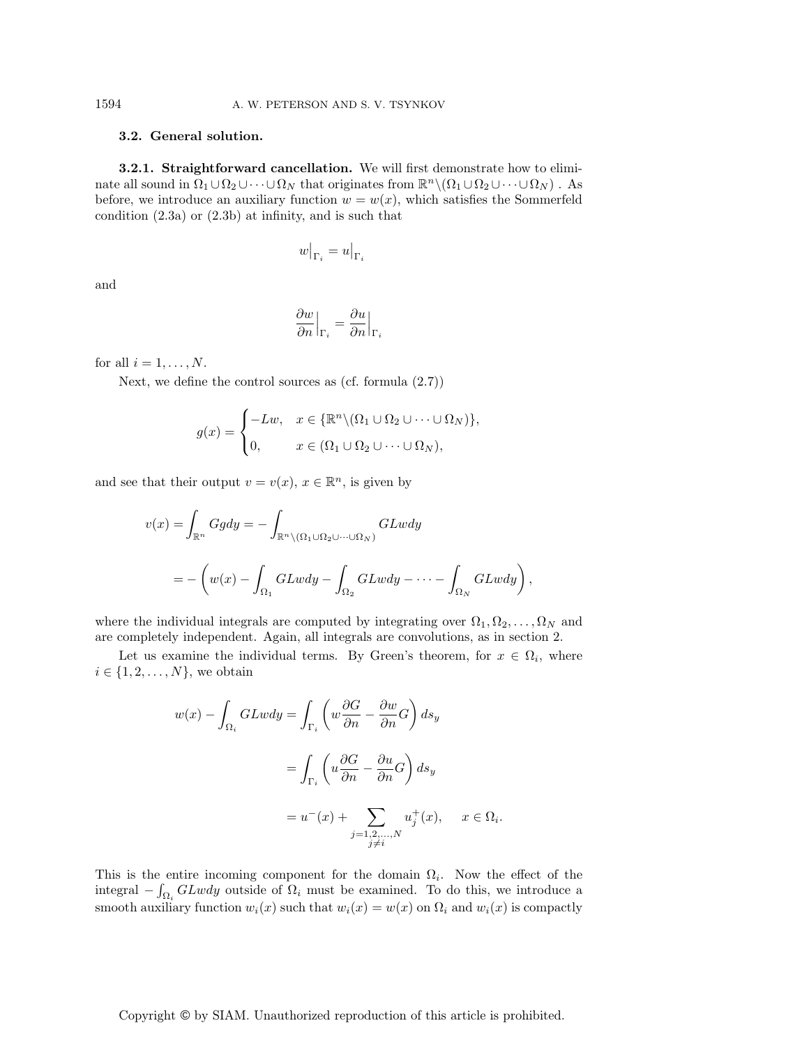## **3.2. General solution.**

**3.2.1. Straightforward cancellation.** We will first demonstrate how to eliminate all sound in  $\Omega_1 \cup \Omega_2 \cup \cdots \cup \Omega_N$  that originates from  $\mathbb{R}^n \setminus (\Omega_1 \cup \Omega_2 \cup \cdots \cup \Omega_N)$ . As before, we introduce an auxiliary function  $w = w(x)$ , which satisfies the Sommerfeld condition (2.3a) or (2.3b) at infinity, and is such that

$$
w\big|_{\Gamma_i} = u\big|_{\Gamma_i}
$$

and

$$
\left.\frac{\partial w}{\partial n}\right|_{\Gamma_i}=\frac{\partial u}{\partial n}\Big|_{\Gamma_i}
$$

for all  $i = 1, \ldots, N$ .

Next, we define the control sources as (cf. formula (2.7))

$$
g(x) = \begin{cases} -Lw, & x \in {\mathbb{R}^n \setminus (\Omega_1 \cup \Omega_2 \cup \dots \cup \Omega_N)}, \\ 0, & x \in (\Omega_1 \cup \Omega_2 \cup \dots \cup \Omega_N), \end{cases}
$$

and see that their output  $v = v(x)$ ,  $x \in \mathbb{R}^n$ , is given by

$$
v(x) = \int_{\mathbb{R}^n} Ggdy = -\int_{\mathbb{R}^n \setminus (\Omega_1 \cup \Omega_2 \cup \dots \cup \Omega_N)} GLwdy
$$
  
= 
$$
- \left( w(x) - \int_{\Omega_1} GLwdy - \int_{\Omega_2} GLwdy - \dots - \int_{\Omega_N} GLwdy \right),
$$

where the individual integrals are computed by integrating over  $\Omega_1, \Omega_2, \ldots, \Omega_N$  and are completely independent. Again, all integrals are convolutions, as in section 2.

Let us examine the individual terms. By Green's theorem, for  $x \in \Omega_i$ , where  $i \in \{1, 2, \ldots, N\}$ , we obtain

$$
w(x) - \int_{\Omega_i} GLwdy = \int_{\Gamma_i} \left( w \frac{\partial G}{\partial n} - \frac{\partial w}{\partial n} G \right) ds_y
$$
  
= 
$$
\int_{\Gamma_i} \left( u \frac{\partial G}{\partial n} - \frac{\partial u}{\partial n} G \right) ds_y
$$
  
= 
$$
u^-(x) + \sum_{\substack{j=1,2,...,N \\ j \neq i}} u_j^+(x), \quad x \in \Omega_i.
$$

This is the entire incoming component for the domain  $\Omega_i$ . Now the effect of the integral  $-\int_{\Omega_i} GLwdy$  outside of  $\Omega_i$  must be examined. To do this, we introduce a smooth auxiliary function  $w_i(x)$  such that  $w_i(x) = w(x)$  on  $\Omega_i$  and  $w_i(x)$  is compactly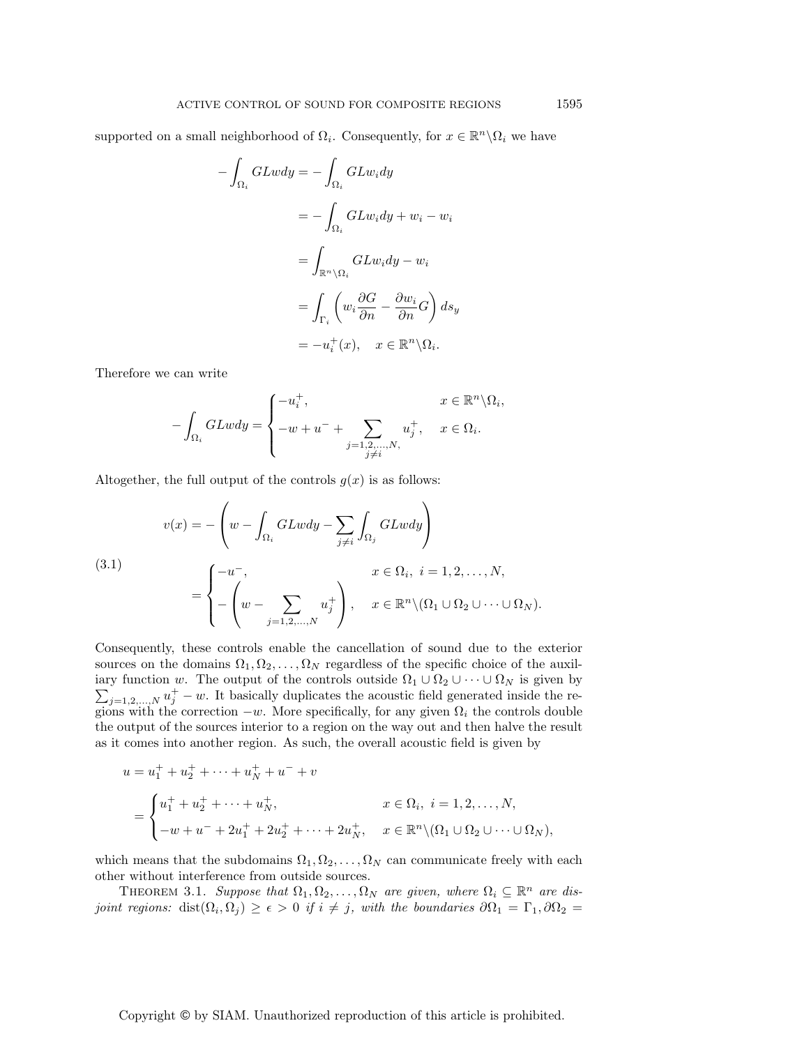supported on a small neighborhood of  $\Omega_i$ . Consequently, for  $x \in \mathbb{R}^n \setminus \Omega_i$  we have

$$
-\int_{\Omega_i} GLwdy = -\int_{\Omega_i} GLw_i dy
$$
  

$$
= -\int_{\Omega_i} GLw_i dy + w_i - w_i
$$
  

$$
= \int_{\mathbb{R}^n \setminus \Omega_i} GLw_i dy - w_i
$$
  

$$
= \int_{\Gamma_i} \left( w_i \frac{\partial G}{\partial n} - \frac{\partial w_i}{\partial n} G \right) ds_y
$$
  

$$
= -u_i^+(x), \quad x \in \mathbb{R}^n \setminus \Omega_i.
$$

Therefore we can write

$$
-\int_{\Omega_i} GLwdy = \begin{cases} -u_i^+, & x \in \mathbb{R}^n \backslash \Omega_i, \\ -w + u^- + \sum_{\substack{j=1,2,\ldots,N, \\ j \neq i}} u_j^+, & x \in \Omega_i. \end{cases}
$$

Altogether, the full output of the controls  $g(x)$  is as follows:

(3.1)  

$$
v(x) = -\left(w - \int_{\Omega_i} GLwdy - \sum_{j \neq i} \int_{\Omega_j} GLwdy\right)
$$

$$
= \begin{cases} -u^-, & x \in \Omega_i, i = 1, 2, ..., N, \\ -\left(w - \sum_{j=1,2,...,N} u_j^+\right), & x \in \mathbb{R}^n \setminus (\Omega_1 \cup \Omega_2 \cup \dots \cup \Omega_N). \end{cases}
$$

Consequently, these controls enable the cancellation of sound due to the exterior sources on the domains  $\Omega_1, \Omega_2, \ldots, \Omega_N$  regardless of the specific choice of the auxiliary function w. The output of the controls outside  $\Omega_1 \cup \Omega_2 \cup \cdots \cup \Omega_N$  is given by  $\sum_{j=1,2,...,N} u_j^+ - w$ . It basically duplicates the acoustic field generated inside the regions with the correction  $-w$ . More specifically, for any given  $\Omega_i$  the controls double the output of the sources interior to a region on the way out and then halve the result as it comes into another region. As such, the overall acoustic field is given by

$$
u = u_1^+ + u_2^+ + \dots + u_N^+ + u^- + v
$$
  
= 
$$
\begin{cases} u_1^+ + u_2^+ + \dots + u_N^+, & x \in \Omega_i, \ i = 1, 2, \dots, N, \\ -w + u^- + 2u_1^+ + 2u_2^+ + \dots + 2u_N^+, & x \in \mathbb{R}^n \setminus (\Omega_1 \cup \Omega_2 \cup \dots \cup \Omega_N), \end{cases}
$$

which means that the subdomains  $\Omega_1, \Omega_2, \ldots, \Omega_N$  can communicate freely with each other without interference from outside sources.

THEOREM 3.1. Suppose that  $\Omega_1, \Omega_2, \ldots, \Omega_N$  are given, where  $\Omega_i \subseteq \mathbb{R}^n$  are disjoint regions: dist $(\Omega_i, \Omega_j) \geq \epsilon > 0$  if  $i \neq j$ , with the boundaries  $\partial \Omega_1 = \Gamma_1, \partial \Omega_2 =$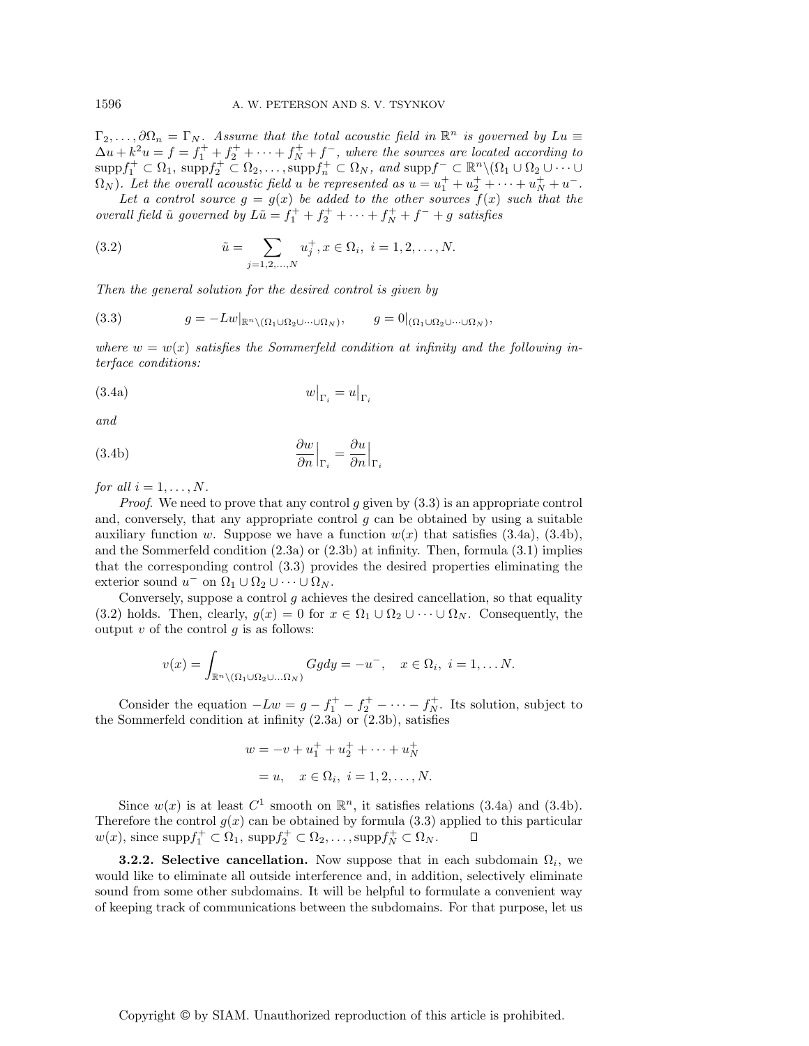$\Gamma_2,\ldots,\partial\Omega_n=\Gamma_N$ . Assume that the total acoustic field in  $\mathbb{R}^n$  is governed by  $Lu \equiv$  $\Delta u + k^2 u = f = f_1^+ + f_2^+ + \cdots + f_N^+ + f^-$ , where the sources are located according to  $\text{supp} f_1^+ \subset \Omega_1, \ \text{supp} f_2^+ \subset \Omega_2, \dots, \text{supp} f_n^+ \subset \Omega_N, \ and \ \text{supp} f^- \subset \mathbb{R}^n \setminus (\Omega_1 \cup \Omega_2 \cup \dots \cup \Omega_N)$  $\Omega_N$ ). Let the overall acoustic field u be represented as  $u = u_1^+ + u_2^+ + \cdots + u_N^+ + u^-$ .

Let a control source  $g = g(x)$  be added to the other sources  $f(x)$  such that the overall field  $\tilde{u}$  governed by  $L\tilde{u} = f_1^+ + f_2^+ + \cdots + f_N^+ + f^- + g$  satisfies

(3.2) 
$$
\tilde{u} = \sum_{j=1,2,...,N} u_j^+, x \in \Omega_i, \ i = 1,2,...,N.
$$

Then the general solution for the desired control is given by

$$
(3.3) \t\t g = -Lw|_{\mathbb{R}^n \setminus (\Omega_1 \cup \Omega_2 \cup \dots \cup \Omega_N)}, \t\t g = 0|_{(\Omega_1 \cup \Omega_2 \cup \dots \cup \Omega_N)},
$$

where  $w = w(x)$  satisfies the Sommerfeld condition at infinity and the following interface conditions:

$$
(3.4a) \t\t\t w|_{\Gamma_i} = u|_{\Gamma_i}
$$

$$
and
$$

(3.4b) 
$$
\left. \frac{\partial w}{\partial n} \right|_{\Gamma_i} = \frac{\partial u}{\partial n} \Big|_{\Gamma_i}
$$

for all  $i = 1, \ldots, N$ .

*Proof.* We need to prove that any control  $g$  given by  $(3.3)$  is an appropriate control and, conversely, that any appropriate control  $q$  can be obtained by using a suitable auxiliary function w. Suppose we have a function  $w(x)$  that satisfies (3.4a), (3.4b), and the Sommerfeld condition  $(2.3a)$  or  $(2.3b)$  at infinity. Then, formula  $(3.1)$  implies that the corresponding control (3.3) provides the desired properties eliminating the exterior sound  $u^-$  on  $\Omega_1 \cup \Omega_2 \cup \cdots \cup \Omega_N$ .

Conversely, suppose a control  $g$  achieves the desired cancellation, so that equality (3.2) holds. Then, clearly,  $g(x) = 0$  for  $x \in \Omega_1 \cup \Omega_2 \cup \cdots \cup \Omega_N$ . Consequently, the output  $v$  of the control  $g$  is as follows:

$$
v(x) = \int_{\mathbb{R}^n \setminus (\Omega_1 \cup \Omega_2 \cup \ldots \Omega_N)} Ggdy = -u^-, \quad x \in \Omega_i, \ i = 1, \ldots N.
$$

Consider the equation  $-Lw = g - f_1^+ - f_2^+ - \cdots - f_N^+$ . Its solution, subject to the Sommerfeld condition at infinity  $(2.3a)$  or  $(2.3b)$ , satisfies

$$
w = -v + u_1^+ + u_2^+ + \dots + u_N^+
$$
  
= u,  $x \in \Omega_i$ ,  $i = 1, 2, ..., N$ .

Since  $w(x)$  is at least  $C^1$  smooth on  $\mathbb{R}^n$ , it satisfies relations (3.4a) and (3.4b). Therefore the control  $g(x)$  can be obtained by formula (3.3) applied to this particular  $w(x)$ , since supp $f_1^+ \subset \Omega_1$ , supp $f_2^+ \subset \Omega_2, \ldots$ , supp $f_N^+ \subset \Omega_N$ .  $\Box$ 

**3.2.2. Selective cancellation.** Now suppose that in each subdomain  $\Omega_i$ , we would like to eliminate all outside interference and, in addition, selectively eliminate sound from some other subdomains. It will be helpful to formulate a convenient way of keeping track of communications between the subdomains. For that purpose, let us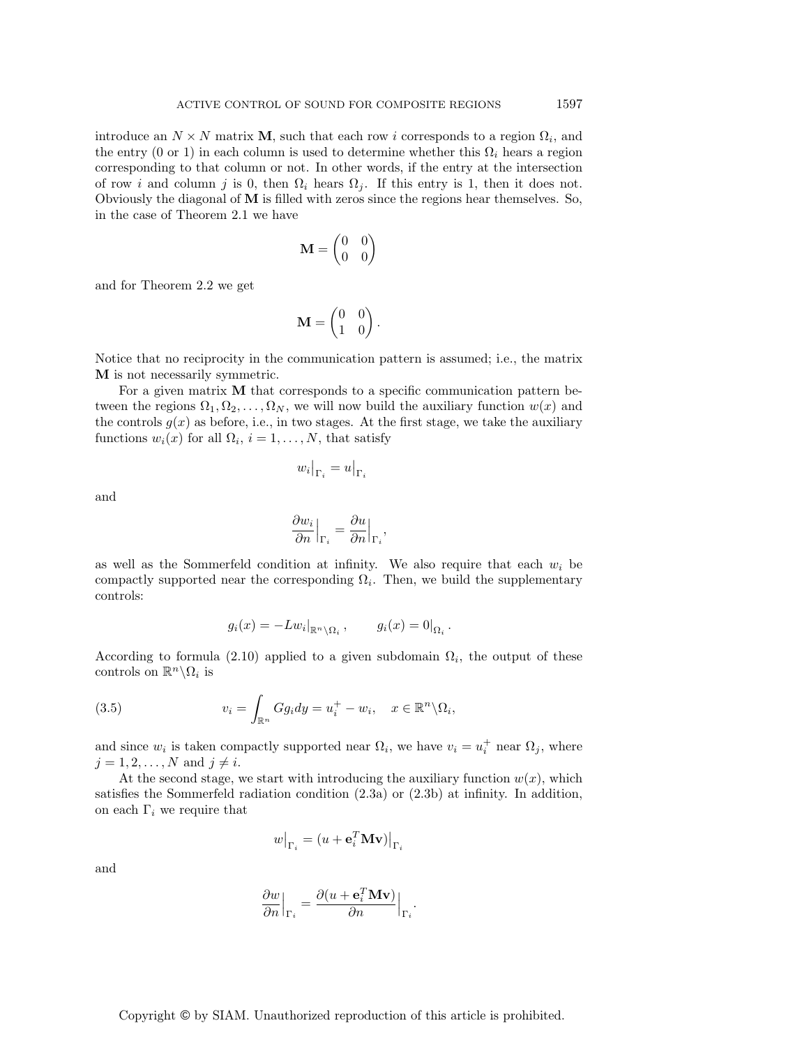introduce an  $N \times N$  matrix **M**, such that each row i corresponds to a region  $\Omega_i$ , and the entry (0 or 1) in each column is used to determine whether this  $\Omega_i$  hears a region corresponding to that column or not. In other words, if the entry at the intersection of row i and column j is 0, then  $\Omega_i$  hears  $\Omega_j$ . If this entry is 1, then it does not. Obviously the diagonal of **M** is filled with zeros since the regions hear themselves. So, in the case of Theorem 2.1 we have

$$
\mathbf{M} = \begin{pmatrix} 0 & 0 \\ 0 & 0 \end{pmatrix}
$$

and for Theorem 2.2 we get

$$
\mathbf{M} = \begin{pmatrix} 0 & 0 \\ 1 & 0 \end{pmatrix}.
$$

Notice that no reciprocity in the communication pattern is assumed; i.e., the matrix **M** is not necessarily symmetric.

For a given matrix **M** that corresponds to a specific communication pattern between the regions  $\Omega_1, \Omega_2, \ldots, \Omega_N$ , we will now build the auxiliary function  $w(x)$  and the controls  $g(x)$  as before, i.e., in two stages. At the first stage, we take the auxiliary functions  $w_i(x)$  for all  $\Omega_i$ ,  $i = 1, \ldots, N$ , that satisfy

$$
w_i\big|_{\Gamma_i} = u\big|_{\Gamma_i}
$$

and

$$
\left. \frac{\partial w_i}{\partial n} \right|_{\Gamma_i} = \frac{\partial u}{\partial n} \Big|_{\Gamma_i}
$$

,

as well as the Sommerfeld condition at infinity. We also require that each  $w_i$  be compactly supported near the corresponding  $\Omega_i$ . Then, we build the supplementary controls:

$$
g_i(x) = -Lw_i|_{\mathbb{R}^n \setminus \Omega_i}, \qquad g_i(x) = 0|_{\Omega_i}.
$$

According to formula (2.10) applied to a given subdomain  $\Omega_i$ , the output of these controls on  $\mathbb{R}^n \backslash \Omega_i$  is

(3.5) 
$$
v_i = \int_{\mathbb{R}^n} Gg_i dy = u_i^+ - w_i, \quad x \in \mathbb{R}^n \backslash \Omega_i,
$$

and since  $w_i$  is taken compactly supported near  $\Omega_i$ , we have  $v_i = u_i^+$  near  $\Omega_j$ , where  $j = 1, 2, \ldots, N$  and  $j \neq i$ .

At the second stage, we start with introducing the auxiliary function  $w(x)$ , which satisfies the Sommerfeld radiation condition (2.3a) or (2.3b) at infinity. In addition, on each  $\Gamma_i$  we require that

$$
w\big|_{\Gamma_i} = (u + \mathbf{e}_i^T \mathbf{M} \mathbf{v})\big|_{\Gamma_i}
$$

and

$$
\frac{\partial w}{\partial n}\Big|_{\Gamma_i} = \frac{\partial (u+\mathbf{e}_i^T\mathbf{M}\mathbf{v})}{\partial n}\Big|_{\Gamma_i}.
$$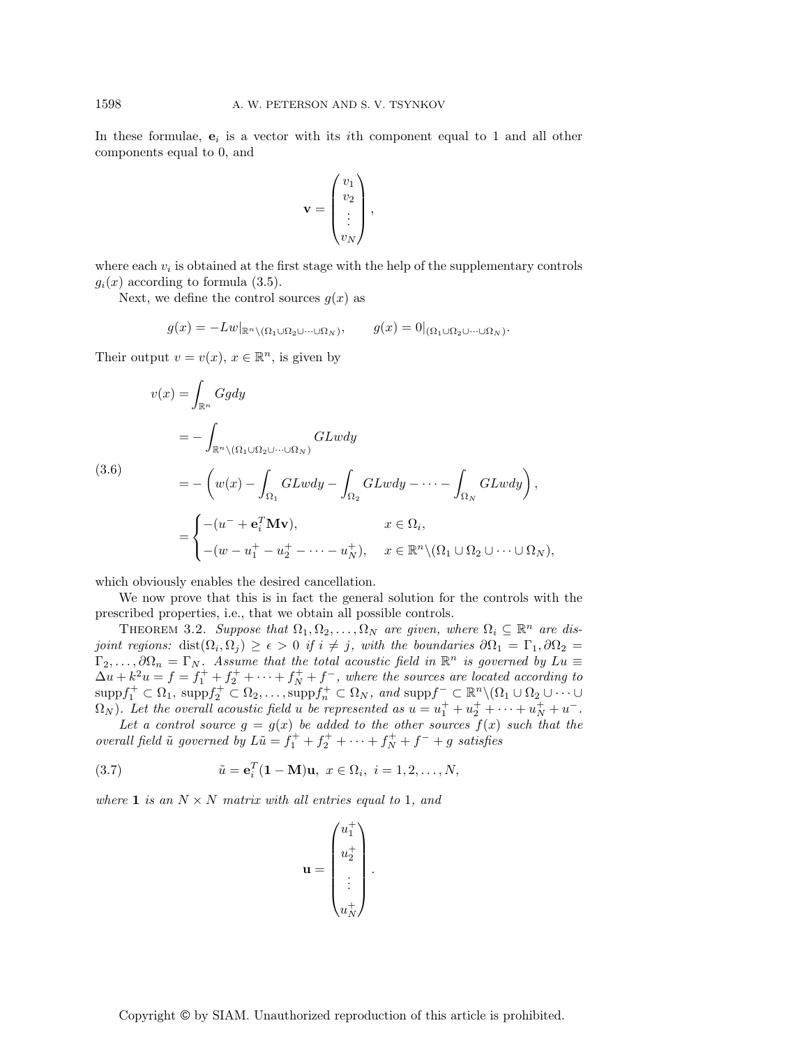In these formulae,  $e_i$  is a vector with its *i*th component equal to 1 and all other components equal to 0, and

$$
\mathbf{v} = \begin{pmatrix} v_1 \\ v_2 \\ \vdots \\ v_N \end{pmatrix},
$$

where each  $v_i$  is obtained at the first stage with the help of the supplementary controls  $g_i(x)$  according to formula (3.5).

Next, we define the control sources  $g(x)$  as

$$
g(x) = -Lw|_{\mathbb{R}^n \setminus (\Omega_1 \cup \Omega_2 \cup \dots \cup \Omega_N)}, \qquad g(x) = 0|_{(\Omega_1 \cup \Omega_2 \cup \dots \cup \Omega_N)}.
$$

Their output  $v = v(x)$ ,  $x \in \mathbb{R}^n$ , is given by

$$
v(x) = \int_{\mathbb{R}^n} Ggdy
$$
  
=  $-\int_{\mathbb{R}^n \setminus (\Omega_1 \cup \Omega_2 \cup \dots \cup \Omega_N)} GLwdy$   
(3.6)  
=  $-\left(w(x) - \int_{\Omega_1} GLwdy - \int_{\Omega_2} GLwdy - \dots - \int_{\Omega_N} GLwdy\right),$   
=  $\begin{cases} -(u^- + \mathbf{e}_i^T \mathbf{M} \mathbf{v}), & x \in \Omega_i, \\ -(w - u_1^+ - u_2^+ - \dots - u_N^+), & x \in \mathbb{R}^n \setminus (\Omega_1 \cup \Omega_2 \cup \dots \cup \Omega_N), \end{cases}$ 

which obviously enables the desired cancellation.

We now prove that this is in fact the general solution for the controls with the prescribed properties, i.e., that we obtain all possible controls.

THEOREM 3.2. Suppose that  $\Omega_1, \Omega_2, \ldots, \Omega_N$  are given, where  $\Omega_i \subseteq \mathbb{R}^n$  are disjoint regions: dist $(\Omega_i, \Omega_j) \geq \epsilon > 0$  if  $i \neq j$ , with the boundaries  $\partial \Omega_1 = \Gamma_1, \partial \Omega_2 =$  $\Gamma_2,\ldots,\partial\Omega_n=\Gamma_N$ . Assume that the total acoustic field in  $\mathbb{R}^n$  is governed by  $Lu\equiv$  $\Delta u + k^2 u = f = f_1^+ + f_2^+ + \cdots + f_N^+ + f^-$ , where the sources are located according to  $\mathrm{supp} f_1^+ \subset \Omega_1, \ \mathrm{supp} f_2^+ \subset \Omega_2, \ldots, \mathrm{supp} f_n^+ \subset \Omega_N, \ and \ \mathrm{supp} f^- \subset \mathbb{R}^n \setminus (\Omega_1 \cup \Omega_2 \cup \cdots \cup \Omega_N)$  $\Omega_N$ ). Let the overall acoustic field u be represented as  $u = u_1^+ + u_2^+ + \cdots + u_N^+ + u^-$ .

Let a control source  $g = g(x)$  be added to the other sources  $f(x)$  such that the overall field  $\tilde{u}$  governed by  $L\tilde{u} = f_1^+ + f_2^+ + \cdots + f_N^+ + f^- + g$  satisfies

(3.7) 
$$
\tilde{u} = \mathbf{e}_i^T (\mathbf{1} - \mathbf{M}) \mathbf{u}, \ x \in \Omega_i, \ i = 1, 2, ..., N,
$$

where **1** is an  $N \times N$  matrix with all entries equal to 1, and

$$
\mathbf{u} = \begin{pmatrix} u_1^+ \\ u_2^+ \\ \vdots \\ u_N^+ \end{pmatrix}.
$$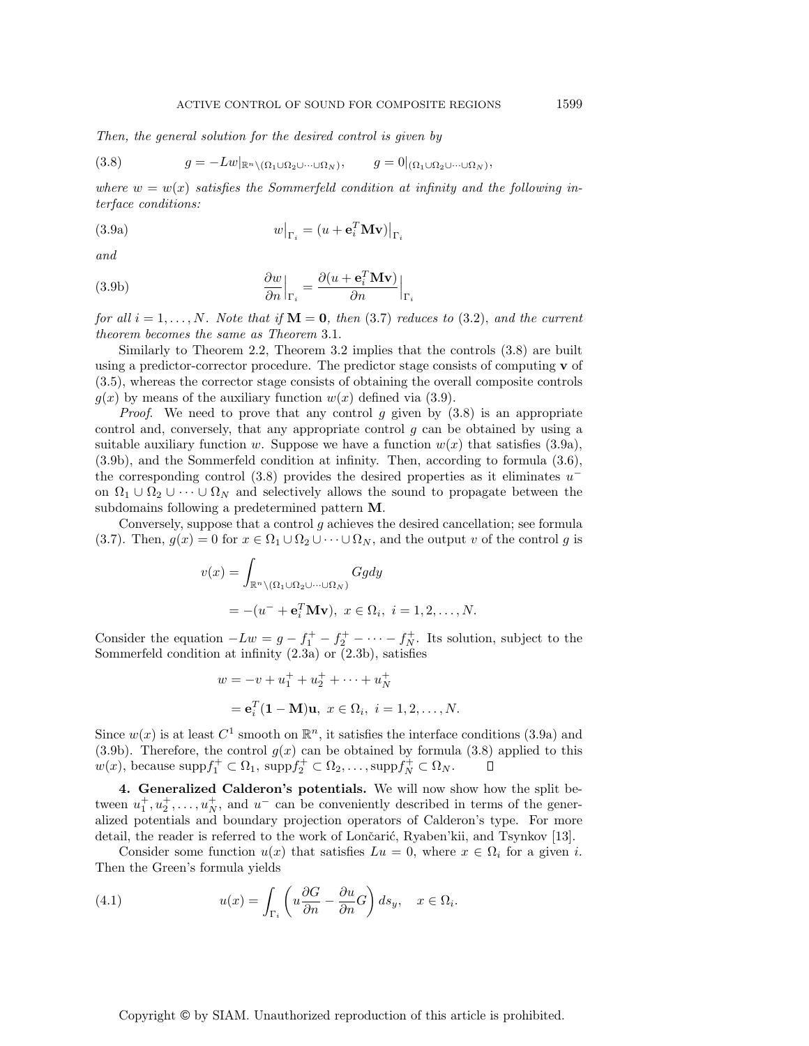Then, the general solution for the desired control is given by

$$
(3.8) \t\t g = -Lw|_{\mathbb{R}^n \setminus (\Omega_1 \cup \Omega_2 \cup \dots \cup \Omega_N)}, \t\t g = 0|_{(\Omega_1 \cup \Omega_2 \cup \dots \cup \Omega_N)},
$$

where  $w = w(x)$  satisfies the Sommerfeld condition at infinity and the following interface conditions:

(3.9a) 
$$
w\big|_{\Gamma_i} = (u + \mathbf{e}_i^T \mathbf{M} \mathbf{v})\big|_{\Gamma_i}
$$

and

(3.9b) 
$$
\frac{\partial w}{\partial n}\Big|_{\Gamma_i} = \frac{\partial (u + \mathbf{e}_i^T \mathbf{M} \mathbf{v})}{\partial n}\Big|_{\Gamma_i}
$$

for all  $i = 1, \ldots, N$ . Note that if  $M = 0$ , then (3.7) reduces to (3.2), and the current theorem becomes the same as Theorem 3.1.

Similarly to Theorem 2.2, Theorem 3.2 implies that the controls (3.8) are built using a predictor-corrector procedure. The predictor stage consists of computing **v** of (3.5), whereas the corrector stage consists of obtaining the overall composite controls  $g(x)$  by means of the auxiliary function  $w(x)$  defined via (3.9).

*Proof.* We need to prove that any control g given by  $(3.8)$  is an appropriate control and, conversely, that any appropriate control  $q$  can be obtained by using a suitable auxiliary function w. Suppose we have a function  $w(x)$  that satisfies (3.9a), (3.9b), and the Sommerfeld condition at infinity. Then, according to formula (3.6), the corresponding control (3.8) provides the desired properties as it eliminates  $u^$ on  $\Omega_1 \cup \Omega_2 \cup \cdots \cup \Omega_N$  and selectively allows the sound to propagate between the subdomains following a predetermined pattern **M**.

Conversely, suppose that a control  $g$  achieves the desired cancellation; see formula (3.7). Then,  $g(x) = 0$  for  $x \in \Omega_1 \cup \Omega_2 \cup \cdots \cup \Omega_N$ , and the output v of the control g is

$$
v(x) = \int_{\mathbb{R}^n \setminus (\Omega_1 \cup \Omega_2 \cup \dots \cup \Omega_N)} Ggdy
$$
  
= -(u^- + e\_i^T Mv), x \in \Omega\_i, i = 1, 2, ..., N.

Consider the equation  $-Lw = g - f_1^+ - f_2^+ - \cdots - f_N^+$ . Its solution, subject to the Sommerfeld condition at infinity  $(2.3a)$  or  $(2.3b)$ , satisfies

$$
w = -v + u_1^+ + u_2^+ + \dots + u_N^+
$$
  
=  $\mathbf{e}_i^T (\mathbf{1} - \mathbf{M}) \mathbf{u}, \ x \in \Omega_i, \ i = 1, 2, \dots, N.$ 

Since  $w(x)$  is at least  $C^1$  smooth on  $\mathbb{R}^n$ , it satisfies the interface conditions (3.9a) and (3.9b). Therefore, the control  $g(x)$  can be obtained by formula (3.8) applied to this  $w(x)$ , because supp $f_1^+ \subset \Omega_1$ , supp $f_2^+ \subset \Omega_2, \ldots$ , supp $f_N^+ \subset \Omega_N$ .

**4. Generalized Calderon's potentials.** We will now show how the split between  $u_1^+, u_2^+, \ldots, u_N^+$ , and  $u^-$  can be conveniently described in terms of the generalized potentials and boundary projection operators of Calderon's type. For more detail, the reader is referred to the work of Lončarić, Ryaben'kii, and Tsynkov [13].

Consider some function  $u(x)$  that satisfies  $Lu = 0$ , where  $x \in \Omega_i$  for a given i. Then the Green's formula yields

(4.1) 
$$
u(x) = \int_{\Gamma_i} \left( u \frac{\partial G}{\partial n} - \frac{\partial u}{\partial n} G \right) ds_y, \quad x \in \Omega_i.
$$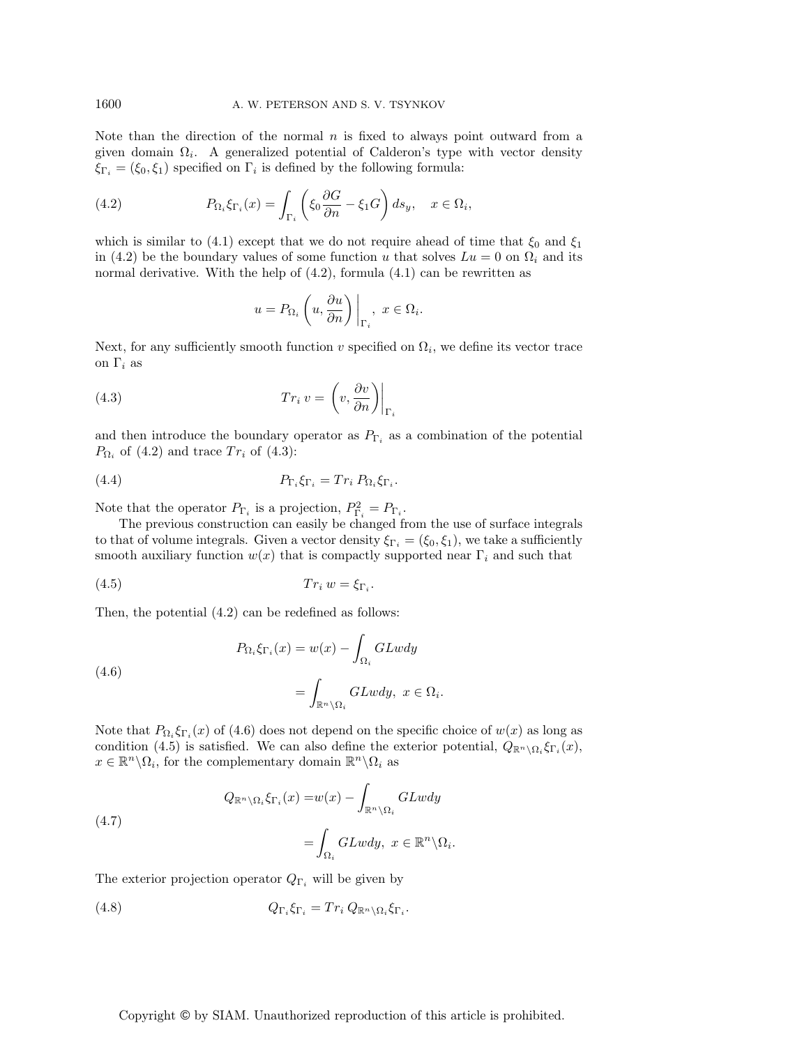Note than the direction of the normal  $n$  is fixed to always point outward from a given domain  $\Omega_i$ . A generalized potential of Calderon's type with vector density  $\xi_{\Gamma_i} = (\xi_0, \xi_1)$  specified on  $\Gamma_i$  is defined by the following formula:

(4.2) 
$$
P_{\Omega_i} \xi_{\Gamma_i}(x) = \int_{\Gamma_i} \left( \xi_0 \frac{\partial G}{\partial n} - \xi_1 G \right) ds_y, \quad x \in \Omega_i,
$$

which is similar to (4.1) except that we do not require ahead of time that  $\xi_0$  and  $\xi_1$ in (4.2) be the boundary values of some function u that solves  $Lu = 0$  on  $\Omega_i$  and its normal derivative. With the help of  $(4.2)$ , formula  $(4.1)$  can be rewritten as

$$
u = P_{\Omega_i} \left( u, \frac{\partial u}{\partial n} \right) \Big|_{\Gamma_i}, \ x \in \Omega_i.
$$

Next, for any sufficiently smooth function v specified on  $\Omega_i$ , we define its vector trace on  $\Gamma_i$  as

(4.3) 
$$
Tr_i v = \left(v, \frac{\partial v}{\partial n}\right)\Big|_{\Gamma_i}
$$

and then introduce the boundary operator as  $P_{\Gamma_i}$  as a combination of the potential  $P_{\Omega_i}$  of (4.2) and trace  $Tr_i$  of (4.3):

(4.4) 
$$
P_{\Gamma_i} \xi_{\Gamma_i} = Tr_i P_{\Omega_i} \xi_{\Gamma_i}.
$$

Note that the operator  $P_{\Gamma_i}$  is a projection,  $P_{\Gamma_i}^2 = P_{\Gamma_i}$ .

The previous construction can easily be changed from the use of surface integrals to that of volume integrals. Given a vector density  $\xi_{\Gamma_i} = (\xi_0, \xi_1)$ , we take a sufficiently smooth auxiliary function  $w(x)$  that is compactly supported near  $\Gamma_i$  and such that

$$
(4.5) \t Tr_i w = \xi_{\Gamma_i}.
$$

Then, the potential (4.2) can be redefined as follows:

(4.6) 
$$
P_{\Omega_i} \xi_{\Gamma_i}(x) = w(x) - \int_{\Omega_i} GLwdy
$$

$$
= \int_{\mathbb{R}^n \setminus \Omega_i} GLwdy, \ x \in \Omega_i.
$$

Note that  $P_{\Omega_i} \xi_{\Gamma_i}(x)$  of (4.6) does not depend on the specific choice of  $w(x)$  as long as condition (4.5) is satisfied. We can also define the exterior potential,  $Q_{\mathbb{R}^n\setminus\Omega_i} \xi_{\Gamma_i}(x)$ ,  $x \in \mathbb{R}^n \backslash \Omega_i$ , for the complementary domain  $\mathbb{R}^n \backslash \Omega_i$  as

(4.7) 
$$
Q_{\mathbb{R}^n \setminus \Omega_i} \xi_{\Gamma_i}(x) = w(x) - \int_{\mathbb{R}^n \setminus \Omega_i} GLwdy
$$

$$
= \int_{\Omega_i} GLwdy, \ x \in \mathbb{R}^n \setminus \Omega_i.
$$

The exterior projection operator  $Q_{\Gamma_i}$  will be given by

(4.8) 
$$
Q_{\Gamma_i} \xi_{\Gamma_i} = Tr_i Q_{\mathbb{R}^n \setminus \Omega_i} \xi_{\Gamma_i}.
$$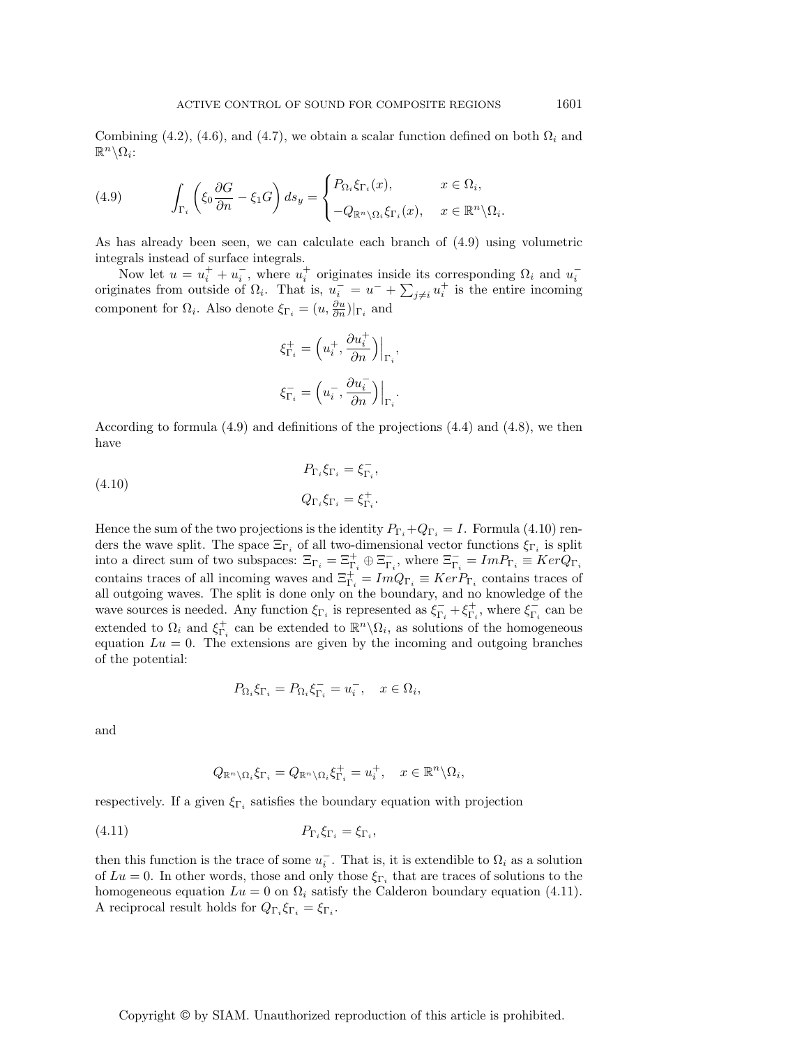Combining (4.2), (4.6), and (4.7), we obtain a scalar function defined on both  $\Omega_i$  and  $\mathbb{R}^n \backslash \Omega_i$ :

(4.9) 
$$
\int_{\Gamma_i} \left( \xi_0 \frac{\partial G}{\partial n} - \xi_1 G \right) ds_y = \begin{cases} P_{\Omega_i} \xi_{\Gamma_i}(x), & x \in \Omega_i, \\ -Q_{\mathbb{R}^n \setminus \Omega_i} \xi_{\Gamma_i}(x), & x \in \mathbb{R}^n \setminus \Omega_i. \end{cases}
$$

As has already been seen, we can calculate each branch of (4.9) using volumetric integrals instead of surface integrals.

Now let  $u = u_i^+ + u_i^-$ , where  $u_i^+$  originates inside its corresponding  $\Omega_i$  and  $u_i^$ originates from outside of  $\Omega_i$ . That is,  $u_i^- = u^- + \sum_{j\neq i} u_i^+$  is the entire incoming component for  $\Omega_i$ . Also denote  $\xi_{\Gamma_i} = (u, \frac{\partial u}{\partial n})|_{\Gamma_i}$  and

$$
\begin{aligned} \xi_{\Gamma_i}^+ &= \Big(u_i^+,\frac{\partial u_i^+}{\partial n}\Big)\Big|_{\Gamma_i},\\ \xi_{\Gamma_i}^- &= \Big(u_i^-,\frac{\partial u_i^-}{\partial n}\Big)\Big|_{\Gamma_i}. \end{aligned}
$$

According to formula (4.9) and definitions of the projections (4.4) and (4.8), we then have

(4.10) 
$$
P_{\Gamma_i} \xi_{\Gamma_i} = \xi_{\Gamma_i}^-,
$$

$$
Q_{\Gamma_i} \xi_{\Gamma_i} = \xi_{\Gamma_i}^+.
$$

Hence the sum of the two projections is the identity  $P_{\Gamma_i}+Q_{\Gamma_i} = I$ . Formula (4.10) renders the wave split. The space  $\Xi_{\Gamma_i}$  of all two-dimensional vector functions  $\xi_{\Gamma_i}$  is split into a direct sum of two subspaces:  $\Xi_{\Gamma_i} = \Xi_{\Gamma_i}^+ \oplus \Xi_{\Gamma_i}^-$ , where  $\Xi_{\Gamma_i}^- = Im P_{\Gamma_i} \equiv Ker Q_{\Gamma_i}$ contains traces of all incoming waves and  $\Xi_{\Gamma_i}^+ = Im Q_{\Gamma_i} \equiv Ker P_{\Gamma_i}$  contains traces of all outgoing waves. The split is done only on the boundary, and no knowledge of the wave sources is needed. Any function  $\xi_{\Gamma_i}$  is represented as  $\xi_{\Gamma_i}^+ + \xi_{\Gamma_i}^+$ , where  $\xi_{\Gamma_i}^-$  can be extended to  $\Omega_i$  and  $\xi_{\Gamma_i}^+$  can be extended to  $\mathbb{R}^n \setminus \Omega_i$ , as solutions of the homogeneous equation  $Lu = 0$ . The extensions are given by the incoming and outgoing branches of the potential:

$$
P_{\Omega_i}\xi_{\Gamma_i} = P_{\Omega_i}\xi_{\Gamma_i} = u_i^-, \quad x \in \Omega_i,
$$

and

$$
Q_{\mathbb{R}^n \setminus \Omega_i} \xi_{\Gamma_i} = Q_{\mathbb{R}^n \setminus \Omega_i} \xi_{\Gamma_i}^+ = u_i^+, \quad x \in \mathbb{R}^n \setminus \Omega_i,
$$

respectively. If a given  $\xi_{\Gamma_i}$  satisfies the boundary equation with projection

$$
(4.11) \t\t\t P_{\Gamma_i} \xi_{\Gamma_i} = \xi_{\Gamma_i},
$$

then this function is the trace of some  $u_i^-$ . That is, it is extendible to  $\Omega_i$  as a solution of  $Lu = 0$ . In other words, those and only those  $\xi_{\Gamma_i}$  that are traces of solutions to the homogeneous equation  $Lu = 0$  on  $\Omega_i$  satisfy the Calderon boundary equation (4.11). A reciprocal result holds for  $Q_{\Gamma_i} \xi_{\Gamma_i} = \xi_{\Gamma_i}$ .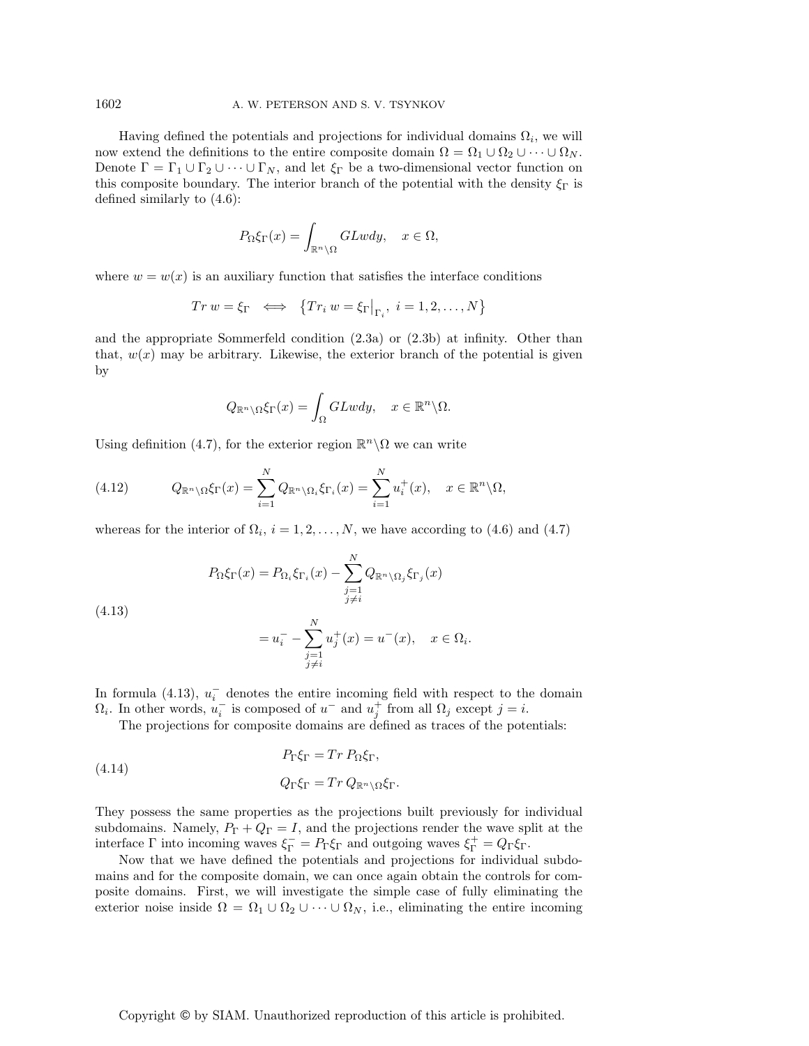Having defined the potentials and projections for individual domains  $\Omega_i$ , we will now extend the definitions to the entire composite domain  $\Omega = \Omega_1 \cup \Omega_2 \cup \cdots \cup \Omega_N$ . Denote  $\Gamma = \Gamma_1 \cup \Gamma_2 \cup \cdots \cup \Gamma_N$ , and let  $\xi_{\Gamma}$  be a two-dimensional vector function on this composite boundary. The interior branch of the potential with the density  $\xi_{\Gamma}$  is defined similarly to (4.6):

$$
P_{\Omega}\xi_{\Gamma}(x) = \int_{\mathbb{R}^n \setminus \Omega} GLwdy, \quad x \in \Omega,
$$

where  $w = w(x)$  is an auxiliary function that satisfies the interface conditions

$$
Tr w = \xi_{\Gamma} \iff \{Tr_i w = \xi_{\Gamma}|_{\Gamma_i}, i = 1, 2, ..., N\}
$$

and the appropriate Sommerfeld condition (2.3a) or (2.3b) at infinity. Other than that,  $w(x)$  may be arbitrary. Likewise, the exterior branch of the potential is given by

$$
Q_{\mathbb{R}^n\setminus\Omega}\xi_{\Gamma}(x)=\int_{\Omega}GLwdy,\quad x\in\mathbb{R}^n\setminus\Omega.
$$

Using definition (4.7), for the exterior region  $\mathbb{R}^n \setminus \Omega$  we can write

(4.12) 
$$
Q_{\mathbb{R}^n \setminus \Omega} \xi_{\Gamma}(x) = \sum_{i=1}^N Q_{\mathbb{R}^n \setminus \Omega_i} \xi_{\Gamma_i}(x) = \sum_{i=1}^N u_i^+(x), \quad x \in \mathbb{R}^n \setminus \Omega,
$$

whereas for the interior of  $\Omega_i$ ,  $i = 1, 2, ..., N$ , we have according to (4.6) and (4.7)

$$
P_{\Omega}\xi_{\Gamma}(x) = P_{\Omega_i}\xi_{\Gamma_i}(x) - \sum_{\substack{j=1 \ j \neq i}}^N Q_{\mathbb{R}^n \setminus \Omega_j} \xi_{\Gamma_j}(x)
$$

(4.13)

$$
= u_i^- - \sum_{\substack{j=1 \ j \neq i}}^N u_j^+(x) = u^-(x), \quad x \in \Omega_i.
$$

In formula (4.13),  $u_i^-$  denotes the entire incoming field with respect to the domain  $\Omega_i$ . In other words,  $u_i^-$  is composed of  $u^-$  and  $u_j^+$  from all  $\Omega_j$  except  $j = i$ .

The projections for composite domains are defined as traces of the potentials:

(4.14) 
$$
P_{\Gamma}\xi_{\Gamma} = Tr P_{\Omega}\xi_{\Gamma},
$$

$$
Q_{\Gamma}\xi_{\Gamma} = Tr Q_{\mathbb{R}^n \setminus \Omega} \xi_{\Gamma}.
$$

They possess the same properties as the projections built previously for individual subdomains. Namely,  $P_{\Gamma} + Q_{\Gamma} = I$ , and the projections render the wave split at the interface  $\Gamma$  into incoming waves  $\xi_{\Gamma}^{-} = P_{\Gamma}\xi_{\Gamma}$  and outgoing waves  $\xi_{\Gamma}^{+} = Q_{\Gamma}\xi_{\Gamma}$ .

Now that we have defined the potentials and projections for individual subdomains and for the composite domain, we can once again obtain the controls for composite domains. First, we will investigate the simple case of fully eliminating the exterior noise inside  $\Omega = \Omega_1 \cup \Omega_2 \cup \cdots \cup \Omega_N$ , i.e., eliminating the entire incoming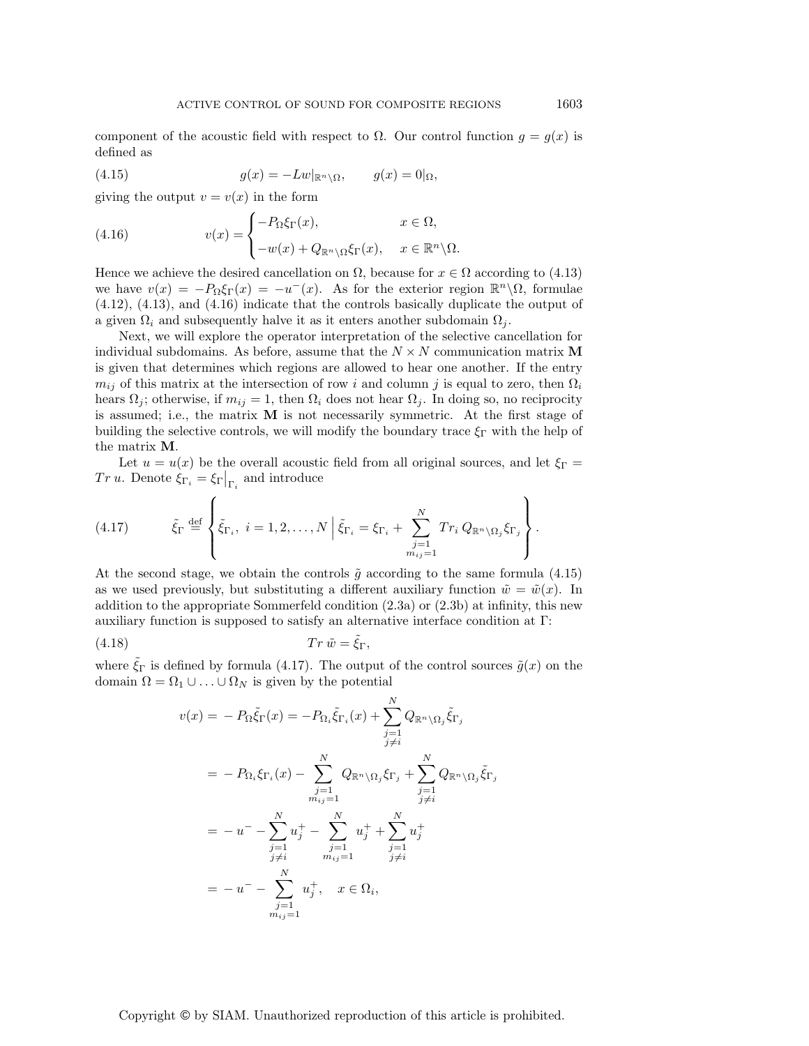component of the acoustic field with respect to  $\Omega$ . Our control function  $g = g(x)$  is defined as

(4.15) 
$$
g(x) = -Lw|_{\mathbb{R}^n \setminus \Omega}, \qquad g(x) = 0|_{\Omega},
$$

giving the output  $v = v(x)$  in the form

(4.16) 
$$
v(x) = \begin{cases} -P_{\Omega} \xi_{\Gamma}(x), & x \in \Omega, \\ -w(x) + Q_{\mathbb{R}^n \setminus \Omega} \xi_{\Gamma}(x), & x \in \mathbb{R}^n \setminus \Omega. \end{cases}
$$

Hence we achieve the desired cancellation on  $\Omega$ , because for  $x \in \Omega$  according to (4.13) we have  $v(x) = -P_{\Omega} \xi_{\Gamma}(x) = -u^{-}(x)$ . As for the exterior region  $\mathbb{R}^{n} \setminus \Omega$ , formulae (4.12), (4.13), and (4.16) indicate that the controls basically duplicate the output of a given  $\Omega_i$  and subsequently halve it as it enters another subdomain  $\Omega_i$ .

Next, we will explore the operator interpretation of the selective cancellation for individual subdomains. As before, assume that the  $N \times N$  communication matrix M is given that determines which regions are allowed to hear one another. If the entry  $m_{ij}$  of this matrix at the intersection of row i and column j is equal to zero, then  $\Omega_i$ hears  $\Omega_i$ ; otherwise, if  $m_{ij} = 1$ , then  $\Omega_i$  does not hear  $\Omega_j$ . In doing so, no reciprocity is assumed; i.e., the matrix **M** is not necessarily symmetric. At the first stage of building the selective controls, we will modify the boundary trace  $\xi_{\Gamma}$  with the help of the matrix **M**.

Let  $u = u(x)$  be the overall acoustic field from all original sources, and let  $\xi_{\Gamma} =$ Tr u. Denote  $\xi_{\Gamma_i} = \xi_{\Gamma} \big|_{\Gamma_i}$  and introduce

(4.17) 
$$
\tilde{\xi}_{\Gamma} \stackrel{\text{def}}{=} \left\{ \tilde{\xi}_{\Gamma_i}, \ i = 1, 2, \dots, N \middle| \ \tilde{\xi}_{\Gamma_i} = \xi_{\Gamma_i} + \sum_{\substack{j=1 \ n_{ij}=1}}^N Tr_i Q_{\mathbb{R}^n \setminus \Omega_j} \xi_{\Gamma_j} \right\}.
$$

At the second stage, we obtain the controls  $\tilde{g}$  according to the same formula (4.15) as we used previously, but substituting a different auxiliary function  $\tilde{w} = \tilde{w}(x)$ . In addition to the appropriate Sommerfeld condition (2.3a) or (2.3b) at infinity, this new auxiliary function is supposed to satisfy an alternative interface condition at Γ:

$$
(4.18) \t Tr \tilde{w} = \tilde{\xi}_{\Gamma},
$$

where  $\xi_{\Gamma}$  is defined by formula (4.17). The output of the control sources  $\tilde{g}(x)$  on the domain  $\Omega = \Omega_1 \cup ... \cup \Omega_N$  is given by the potential

$$
v(x) = -P_{\Omega}\tilde{\xi}_{\Gamma}(x) = -P_{\Omega_{i}}\tilde{\xi}_{\Gamma_{i}}(x) + \sum_{\substack{j=1 \ j \neq i}}^{N} Q_{\mathbb{R}^{n} \setminus \Omega_{j}} \tilde{\xi}_{\Gamma_{j}}
$$
  
\n
$$
= -P_{\Omega_{i}}\xi_{\Gamma_{i}}(x) - \sum_{\substack{j=1 \ j \neq i}}^{N} Q_{\mathbb{R}^{n} \setminus \Omega_{j}} \xi_{\Gamma_{j}} + \sum_{\substack{j=1 \ j \neq i}}^{N} Q_{\mathbb{R}^{n} \setminus \Omega_{j}} \tilde{\xi}_{\Gamma_{j}}
$$
  
\n
$$
= -u^{-} - \sum_{\substack{j=1 \ j \neq i}}^{N} u_{j}^{+} - \sum_{\substack{j=1 \ j \neq i}}^{N} u_{j}^{+} + \sum_{\substack{j=1 \ j \neq i}}^{N} u_{j}^{+}
$$
  
\n
$$
= -u^{-} - \sum_{\substack{j=1 \ j \neq i}}^{N} u_{j}^{+}, \quad x \in \Omega_{i},
$$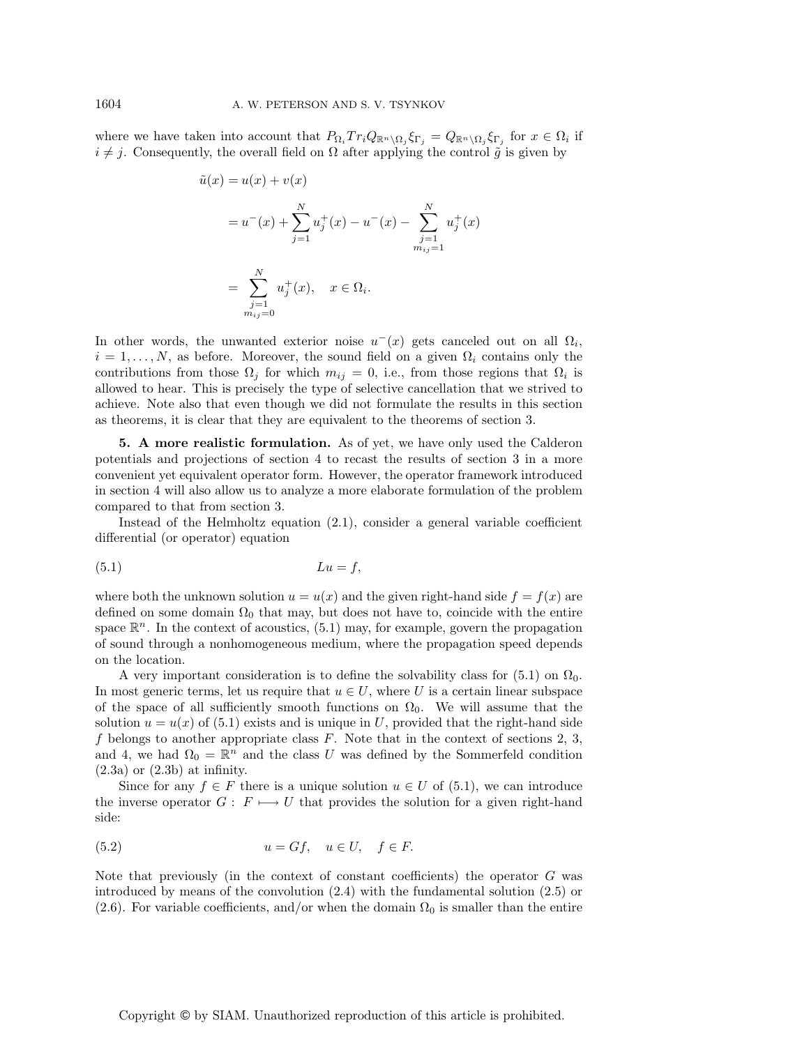where we have taken into account that  $P_{\Omega_i} Tr_i Q_{\mathbb{R}^n \setminus \Omega_j} \xi_{\Gamma_j} = Q_{\mathbb{R}^n \setminus \Omega_j} \xi_{\Gamma_j}$  for  $x \in \Omega_i$  if  $i \neq j$ . Consequently, the overall field on  $\Omega$  after applying the control  $\tilde{g}$  is given by

$$
\tilde{u}(x) = u(x) + v(x)
$$
  
=  $u^-(x) + \sum_{j=1}^N u_j^+(x) - u^-(x) - \sum_{\substack{j=1 \ m_{ij}=1}}^N u_j^+(x)$   
=  $\sum_{\substack{j=1 \ m_{ij}=0}}^N u_j^+(x), \quad x \in \Omega_i.$ 

In other words, the unwanted exterior noise  $u^-(x)$  gets canceled out on all  $\Omega_i$ ,  $i = 1, \ldots, N$ , as before. Moreover, the sound field on a given  $\Omega_i$  contains only the contributions from those  $\Omega_i$  for which  $m_{ij} = 0$ , i.e., from those regions that  $\Omega_i$  is allowed to hear. This is precisely the type of selective cancellation that we strived to achieve. Note also that even though we did not formulate the results in this section as theorems, it is clear that they are equivalent to the theorems of section 3.

**5. A more realistic formulation.** As of yet, we have only used the Calderon potentials and projections of section 4 to recast the results of section 3 in a more convenient yet equivalent operator form. However, the operator framework introduced in section 4 will also allow us to analyze a more elaborate formulation of the problem compared to that from section 3.

Instead of the Helmholtz equation (2.1), consider a general variable coefficient differential (or operator) equation

$$
(5.1) \t\t\t Lu = f,
$$

where both the unknown solution  $u = u(x)$  and the given right-hand side  $f = f(x)$  are defined on some domain  $\Omega_0$  that may, but does not have to, coincide with the entire space  $\mathbb{R}^n$ . In the context of acoustics, (5.1) may, for example, govern the propagation of sound through a nonhomogeneous medium, where the propagation speed depends on the location.

A very important consideration is to define the solvability class for (5.1) on  $\Omega_0$ . In most generic terms, let us require that  $u \in U$ , where U is a certain linear subspace of the space of all sufficiently smooth functions on  $\Omega_0$ . We will assume that the solution  $u = u(x)$  of (5.1) exists and is unique in U, provided that the right-hand side  $f$  belongs to another appropriate class  $F$ . Note that in the context of sections 2, 3, and 4, we had  $\Omega_0 = \mathbb{R}^n$  and the class U was defined by the Sommerfeld condition  $(2.3a)$  or  $(2.3b)$  at infinity.

Since for any  $f \in F$  there is a unique solution  $u \in U$  of (5.1), we can introduce the inverse operator  $G: F \longmapsto U$  that provides the solution for a given right-hand side:

$$
(5.2) \t\t u = Gf, \quad u \in U, \quad f \in F.
$$

Note that previously (in the context of constant coefficients) the operator  $G$  was introduced by means of the convolution (2.4) with the fundamental solution (2.5) or (2.6). For variable coefficients, and/or when the domain  $\Omega_0$  is smaller than the entire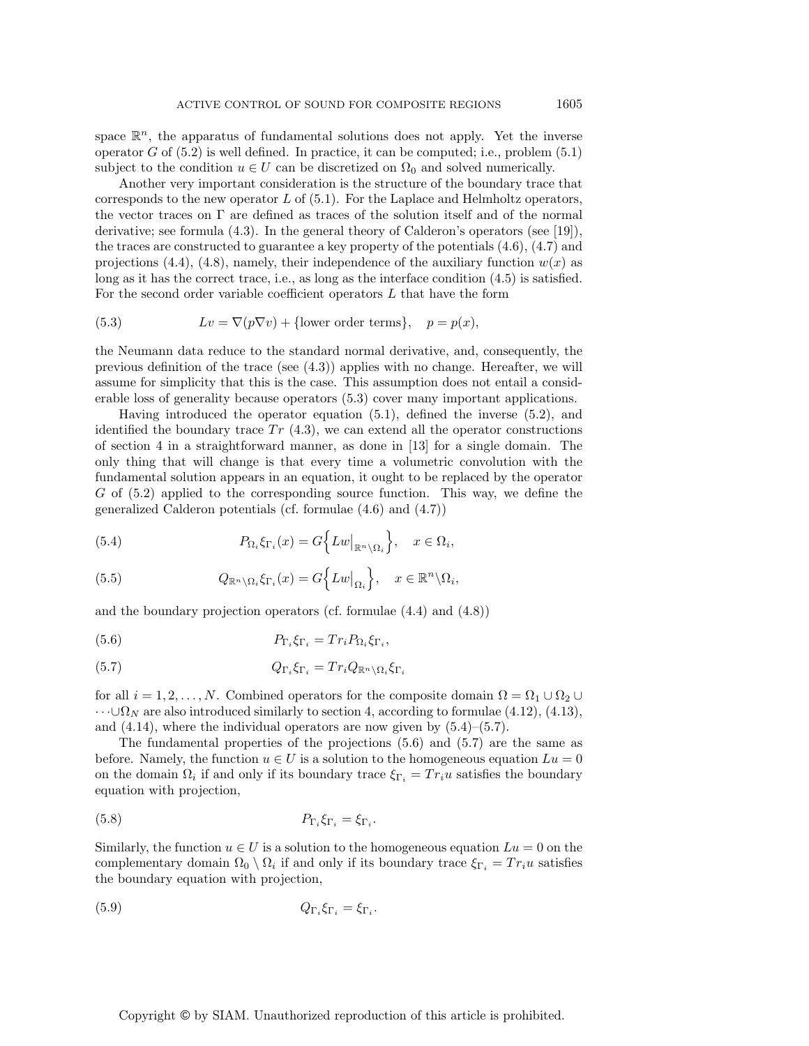space  $\mathbb{R}^n$ , the apparatus of fundamental solutions does not apply. Yet the inverse operator  $G$  of  $(5.2)$  is well defined. In practice, it can be computed; i.e., problem  $(5.1)$ subject to the condition  $u \in U$  can be discretized on  $\Omega_0$  and solved numerically.

Another very important consideration is the structure of the boundary trace that corresponds to the new operator  $L$  of  $(5.1)$ . For the Laplace and Helmholtz operators, the vector traces on Γ are defined as traces of the solution itself and of the normal derivative; see formula (4.3). In the general theory of Calderon's operators (see [19]), the traces are constructed to guarantee a key property of the potentials (4.6), (4.7) and projections (4.4), (4.8), namely, their independence of the auxiliary function  $w(x)$  as long as it has the correct trace, i.e., as long as the interface condition (4.5) is satisfied. For the second order variable coefficient operators  $L$  that have the form

(5.3) 
$$
Lv = \nabla(p\nabla v) + \{\text{lower order terms}\}, \quad p = p(x),
$$

the Neumann data reduce to the standard normal derivative, and, consequently, the previous definition of the trace (see (4.3)) applies with no change. Hereafter, we will assume for simplicity that this is the case. This assumption does not entail a considerable loss of generality because operators (5.3) cover many important applications.

Having introduced the operator equation (5.1), defined the inverse (5.2), and identified the boundary trace  $Tr(4.3)$ , we can extend all the operator constructions of section 4 in a straightforward manner, as done in [13] for a single domain. The only thing that will change is that every time a volumetric convolution with the fundamental solution appears in an equation, it ought to be replaced by the operator  $G$  of  $(5.2)$  applied to the corresponding source function. This way, we define the generalized Calderon potentials (cf. formulae (4.6) and (4.7))

(5.4) 
$$
P_{\Omega_i} \xi_{\Gamma_i}(x) = G \Big\{ L w \big|_{\mathbb{R}^n \setminus \Omega_i} \Big\}, \quad x \in \Omega_i,
$$

(5.5) 
$$
Q_{\mathbb{R}^n \setminus \Omega_i} \xi_{\Gamma_i}(x) = G\Big\{Lw\big|_{\Omega_i}\Big\}, \quad x \in \mathbb{R}^n \setminus \Omega_i,
$$

and the boundary projection operators (cf. formulae (4.4) and (4.8))

(5.6) 
$$
P_{\Gamma_i} \xi_{\Gamma_i} = Tr_i P_{\Omega_i} \xi_{\Gamma_i},
$$

(5.7) 
$$
Q_{\Gamma_i} \xi_{\Gamma_i} = Tr_i Q_{\mathbb{R}^n \setminus \Omega_i} \xi_{\Gamma_i}
$$

for all  $i = 1, 2, ..., N$ . Combined operators for the composite domain  $\Omega = \Omega_1 \cup \Omega_2 \cup$  $\cdots \cup \Omega_N$  are also introduced similarly to section 4, according to formulae (4.12), (4.13), and  $(4.14)$ , where the individual operators are now given by  $(5.4)$ – $(5.7)$ .

The fundamental properties of the projections  $(5.6)$  and  $(5.7)$  are the same as before. Namely, the function  $u \in U$  is a solution to the homogeneous equation  $Lu = 0$ on the domain  $\Omega_i$  if and only if its boundary trace  $\xi_{\Gamma_i} = Tr_i u$  satisfies the boundary equation with projection,

$$
P_{\Gamma_i} \xi_{\Gamma_i} = \xi_{\Gamma_i}.
$$

Similarly, the function  $u \in U$  is a solution to the homogeneous equation  $Lu = 0$  on the complementary domain  $\Omega_0 \setminus \Omega_i$  if and only if its boundary trace  $\xi_{\Gamma_i} = Tr_i u$  satisfies the boundary equation with projection,

$$
(5.9) \t\t Q_{\Gamma_i} \xi_{\Gamma_i} = \xi_{\Gamma_i}.
$$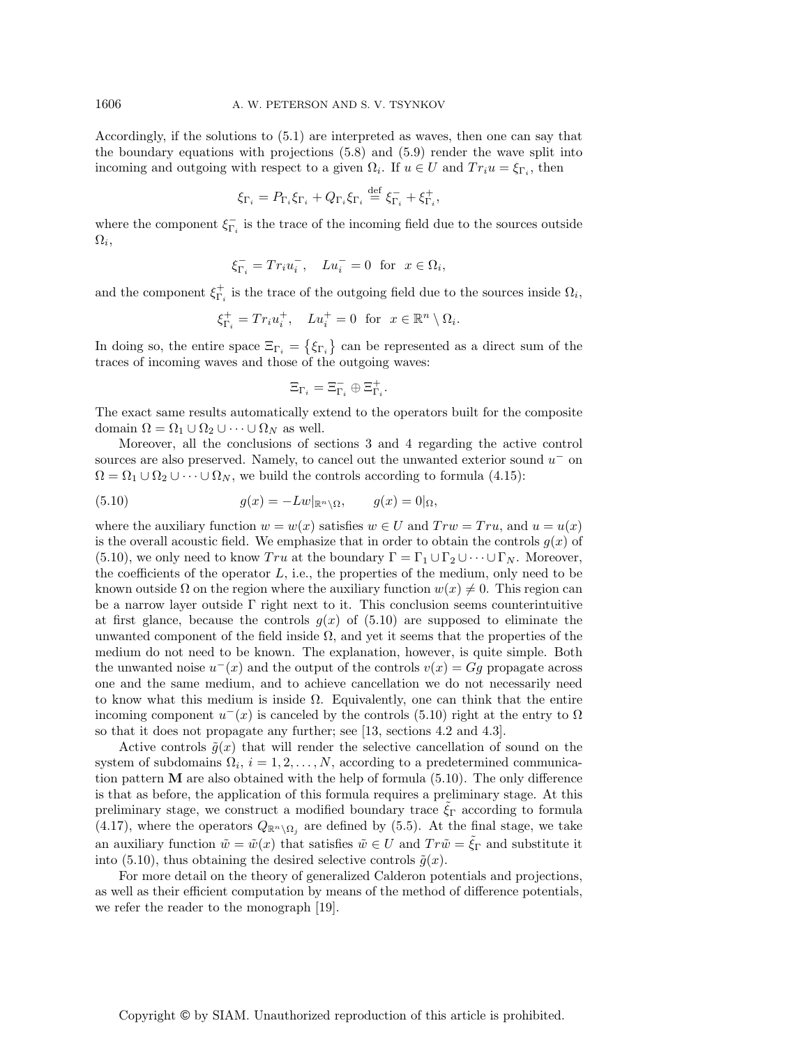Accordingly, if the solutions to (5.1) are interpreted as waves, then one can say that the boundary equations with projections (5.8) and (5.9) render the wave split into incoming and outgoing with respect to a given  $\Omega_i$ . If  $u \in U$  and  $Tr_i u = \xi_{\Gamma_i}$ , then

$$
\xi_{\Gamma_i} = P_{\Gamma_i}\xi_{\Gamma_i} + Q_{\Gamma_i}\xi_{\Gamma_i} \stackrel{\text{def}}{=} \xi_{\Gamma_i}^- + \xi_{\Gamma_i}^+,
$$

where the component  $\xi_{\Gamma_i}^-$  is the trace of the incoming field due to the sources outside  $\Omega_i$ ,

$$
\xi_{\Gamma_i}^- = \operatorname{Tr}_i u_i^-, \quad Lu_i^- = 0 \text{ for } x \in \Omega_i,
$$

and the component  $\xi_{\Gamma_i}^+$  is the trace of the outgoing field due to the sources inside  $\Omega_i$ ,

$$
\xi_{\Gamma_i}^+ = Tr_i u_i^+, \quad Lu_i^+ = 0 \text{ for } x \in \mathbb{R}^n \setminus \Omega_i.
$$

In doing so, the entire space  $\Xi_{\Gamma_i} = \{\xi_{\Gamma_i}\}\$  can be represented as a direct sum of the traces of incoming waves and those of the outgoing waves:

$$
\Xi_{\Gamma_i}=\Xi^-_{\Gamma_i}\oplus\Xi^+_{\Gamma_i}.
$$

The exact same results automatically extend to the operators built for the composite domain  $\Omega = \Omega_1 \cup \Omega_2 \cup \cdots \cup \Omega_N$  as well.

Moreover, all the conclusions of sections 3 and 4 regarding the active control sources are also preserved. Namely, to cancel out the unwanted exterior sound  $u^-$  on  $\Omega = \Omega_1 \cup \Omega_2 \cup \cdots \cup \Omega_N$ , we build the controls according to formula (4.15):

(5.10) 
$$
g(x) = -Lw|_{\mathbb{R}^n \setminus \Omega}, \qquad g(x) = 0|_{\Omega},
$$

where the auxiliary function  $w = w(x)$  satisfies  $w \in U$  and  $Trw = Tru$ , and  $u = u(x)$ is the overall acoustic field. We emphasize that in order to obtain the controls  $g(x)$  of (5.10), we only need to know  $Tru$  at the boundary  $\Gamma = \Gamma_1 \cup \Gamma_2 \cup \cdots \cup \Gamma_N$ . Moreover, the coefficients of the operator  $L$ , i.e., the properties of the medium, only need to be known outside  $\Omega$  on the region where the auxiliary function  $w(x) \neq 0$ . This region can be a narrow layer outside  $\Gamma$  right next to it. This conclusion seems counterintuitive at first glance, because the controls  $g(x)$  of  $(5.10)$  are supposed to eliminate the unwanted component of the field inside  $\Omega$ , and yet it seems that the properties of the medium do not need to be known. The explanation, however, is quite simple. Both the unwanted noise  $u^-(x)$  and the output of the controls  $v(x) = Gg$  propagate across one and the same medium, and to achieve cancellation we do not necessarily need to know what this medium is inside  $\Omega$ . Equivalently, one can think that the entire incoming component  $u^-(x)$  is canceled by the controls (5.10) right at the entry to  $\Omega$ so that it does not propagate any further; see [13, sections 4.2 and 4.3].

Active controls  $\tilde{g}(x)$  that will render the selective cancellation of sound on the system of subdomains  $\Omega_i$ ,  $i = 1, 2, \ldots, N$ , according to a predetermined communication pattern **M** are also obtained with the help of formula (5.10). The only difference is that as before, the application of this formula requires a preliminary stage. At this preliminary stage, we construct a modified boundary trace  $\xi_{\Gamma}$  according to formula (4.17), where the operators  $Q_{\mathbb{R}^n \setminus \Omega_i}$  are defined by (5.5). At the final stage, we take an auxiliary function  $\tilde{w} = \tilde{w}(x)$  that satisfies  $\tilde{w} \in U$  and  $Tr\tilde{w} = \xi_{\Gamma}$  and substitute it into (5.10), thus obtaining the desired selective controls  $\tilde{g}(x)$ .

For more detail on the theory of generalized Calderon potentials and projections, as well as their efficient computation by means of the method of difference potentials, we refer the reader to the monograph [19].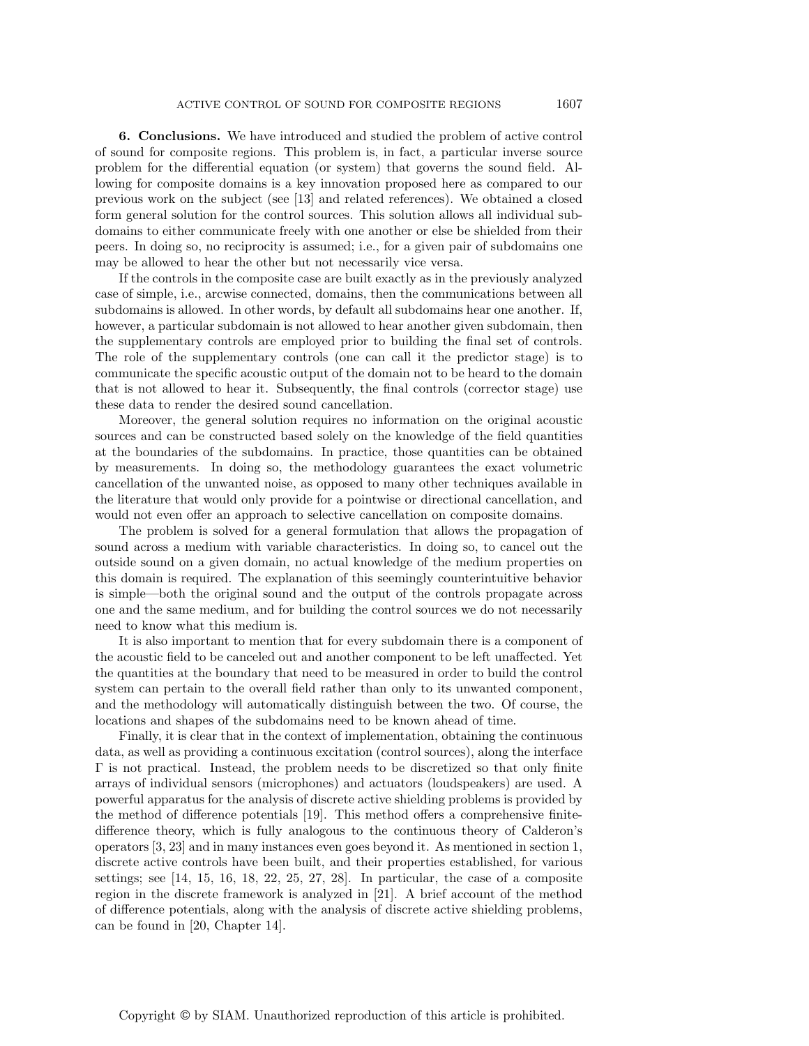**6. Conclusions.** We have introduced and studied the problem of active control of sound for composite regions. This problem is, in fact, a particular inverse source problem for the differential equation (or system) that governs the sound field. Allowing for composite domains is a key innovation proposed here as compared to our previous work on the subject (see [13] and related references). We obtained a closed form general solution for the control sources. This solution allows all individual subdomains to either communicate freely with one another or else be shielded from their peers. In doing so, no reciprocity is assumed; i.e., for a given pair of subdomains one may be allowed to hear the other but not necessarily vice versa.

If the controls in the composite case are built exactly as in the previously analyzed case of simple, i.e., arcwise connected, domains, then the communications between all subdomains is allowed. In other words, by default all subdomains hear one another. If, however, a particular subdomain is not allowed to hear another given subdomain, then the supplementary controls are employed prior to building the final set of controls. The role of the supplementary controls (one can call it the predictor stage) is to communicate the specific acoustic output of the domain not to be heard to the domain that is not allowed to hear it. Subsequently, the final controls (corrector stage) use these data to render the desired sound cancellation.

Moreover, the general solution requires no information on the original acoustic sources and can be constructed based solely on the knowledge of the field quantities at the boundaries of the subdomains. In practice, those quantities can be obtained by measurements. In doing so, the methodology guarantees the exact volumetric cancellation of the unwanted noise, as opposed to many other techniques available in the literature that would only provide for a pointwise or directional cancellation, and would not even offer an approach to selective cancellation on composite domains.

The problem is solved for a general formulation that allows the propagation of sound across a medium with variable characteristics. In doing so, to cancel out the outside sound on a given domain, no actual knowledge of the medium properties on this domain is required. The explanation of this seemingly counterintuitive behavior is simple—both the original sound and the output of the controls propagate across one and the same medium, and for building the control sources we do not necessarily need to know what this medium is.

It is also important to mention that for every subdomain there is a component of the acoustic field to be canceled out and another component to be left unaffected. Yet the quantities at the boundary that need to be measured in order to build the control system can pertain to the overall field rather than only to its unwanted component, and the methodology will automatically distinguish between the two. Of course, the locations and shapes of the subdomains need to be known ahead of time.

Finally, it is clear that in the context of implementation, obtaining the continuous data, as well as providing a continuous excitation (control sources), along the interface Γ is not practical. Instead, the problem needs to be discretized so that only finite arrays of individual sensors (microphones) and actuators (loudspeakers) are used. A powerful apparatus for the analysis of discrete active shielding problems is provided by the method of difference potentials [19]. This method offers a comprehensive finitedifference theory, which is fully analogous to the continuous theory of Calderon's operators [3, 23] and in many instances even goes beyond it. As mentioned in section 1, discrete active controls have been built, and their properties established, for various settings; see [14, 15, 16, 18, 22, 25, 27, 28]. In particular, the case of a composite region in the discrete framework is analyzed in [21]. A brief account of the method of difference potentials, along with the analysis of discrete active shielding problems, can be found in [20, Chapter 14].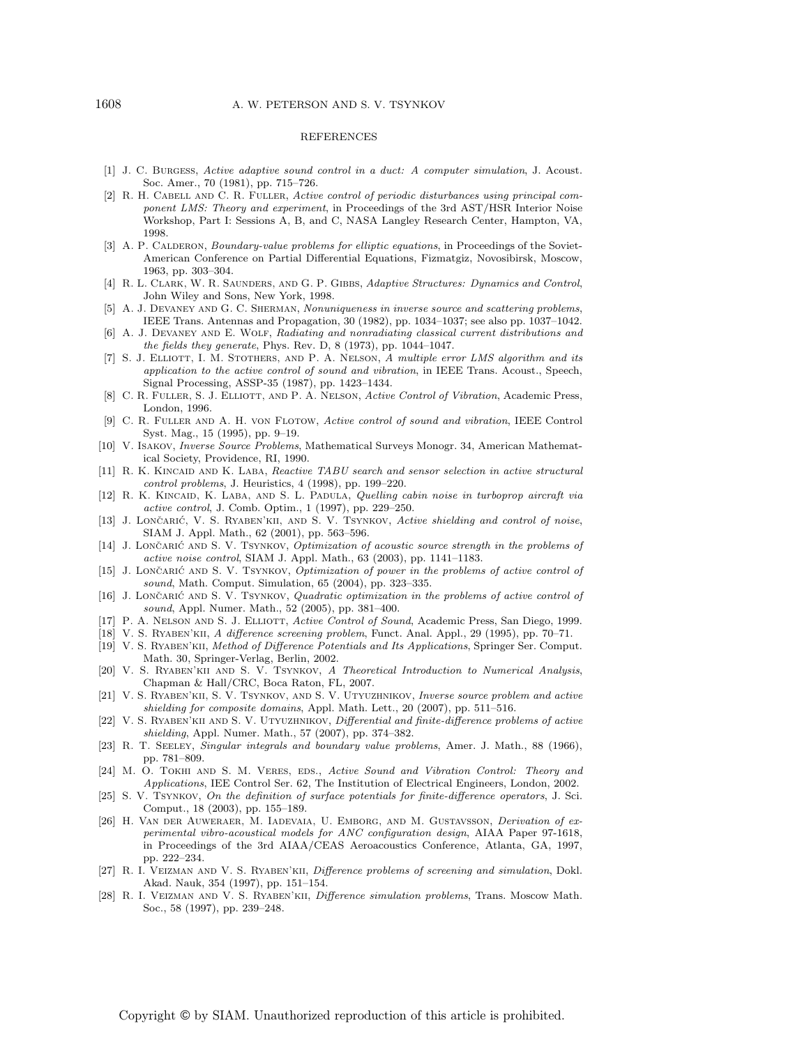### REFERENCES

- [1] J. C. Burgess, Active adaptive sound control in a duct: A computer simulation, J. Acoust. Soc. Amer., 70 (1981), pp. 715–726.
- [2] R. H. CABELL AND C. R. FULLER, Active control of periodic disturbances using principal component LMS: Theory and experiment, in Proceedings of the 3rd AST/HSR Interior Noise Workshop, Part I: Sessions A, B, and C, NASA Langley Research Center, Hampton, VA, 1998.
- [3] A. P. CALDERON, *Boundary-value problems for elliptic equations*, in Proceedings of the Soviet-American Conference on Partial Differential Equations, Fizmatgiz, Novosibirsk, Moscow, 1963, pp. 303–304.
- [4] R. L. Clark, W. R. Saunders, and G. P. Gibbs, Adaptive Structures: Dynamics and Control, John Wiley and Sons, New York, 1998.
- [5] A. J. DEVANEY AND G. C. SHERMAN, Nonuniqueness in inverse source and scattering problems, IEEE Trans. Antennas and Propagation, 30 (1982), pp. 1034–1037; see also pp. 1037–1042.
- [6] A. J. DEVANEY AND E. WOLF, Radiating and nonradiating classical current distributions and the fields they generate, Phys. Rev. D, 8 (1973), pp. 1044–1047.
- [7] S. J. ELLIOTT, I. M. STOTHERS, AND P. A. NELSON, A multiple error LMS algorithm and its application to the active control of sound and vibration, in IEEE Trans. Acoust., Speech, Signal Processing, ASSP-35 (1987), pp. 1423–1434.
- [8] C. R. FULLER, S. J. ELLIOTT, AND P. A. NELSON, Active Control of Vibration, Academic Press, London, 1996.
- [9] C. R. Fuller and A. H. von Flotow, Active control of sound and vibration, IEEE Control Syst. Mag., 15 (1995), pp. 9–19.
- [10] V. Isakov, Inverse Source Problems, Mathematical Surveys Monogr. 34, American Mathematical Society, Providence, RI, 1990.
- [11] R. K. KINCAID AND K. LABA, Reactive TABU search and sensor selection in active structural control problems, J. Heuristics, 4 (1998), pp. 199–220.
- [12] R. K. KINCAID, K. LABA, AND S. L. PADULA, Quelling cabin noise in turboprop aircraft via active control, J. Comb. Optim., 1 (1997), pp. 229–250.
- [13] J. LONČARIĆ, V. S. RYABEN'KII, AND S. V. TSYNKOV, Active shielding and control of noise, SIAM J. Appl. Math., 62 (2001), pp. 563–596.
- [14] J. LONČARIĆ AND S. V. TSYNKOV, Optimization of acoustic source strength in the problems of active noise control, SIAM J. Appl. Math., 63 (2003), pp. 1141–1183.
- [15] J. LONČARIĆ AND S. V. TSYNKOV, Optimization of power in the problems of active control of sound, Math. Comput. Simulation, 65 (2004), pp. 323–335.
- [16] J. LONČARIĆ AND S. V. TSYNKOV, *Quadratic optimization in the problems of active control of* sound, Appl. Numer. Math., 52 (2005), pp. 381–400.
- [17] P. A. NELSON AND S. J. ELLIOTT, Active Control of Sound, Academic Press, San Diego, 1999.
- [18] V. S. Ryaben'kii, A difference screening problem, Funct. Anal. Appl., 29 (1995), pp. 70–71.
- [19] V. S. Ryaben'kii, Method of Difference Potentials and Its Applications, Springer Ser. Comput. Math. 30, Springer-Verlag, Berlin, 2002.
- [20] V. S. Ryaben'kii and S. V. Tsynkov, A Theoretical Introduction to Numerical Analysis, Chapman & Hall/CRC, Boca Raton, FL, 2007.
- [21] V. S. Ryaben'kii, S. V. Tsynkov, and S. V. Utyuzhnikov, Inverse source problem and active shielding for composite domains, Appl. Math. Lett., 20 (2007), pp. 511–516.
- [22] V. S. Ryaben'kii and S. V. Utyuzhnikov, Differential and finite-difference problems of active shielding, Appl. Numer. Math., 57 (2007), pp. 374–382.
- [23] R. T. Seeley, Singular integrals and boundary value problems, Amer. J. Math., 88 (1966), pp. 781–809.
- [24] M. O. TOKHI AND S. M. VERES, EDS., Active Sound and Vibration Control: Theory and Applications, IEE Control Ser. 62, The Institution of Electrical Engineers, London, 2002.
- [25] S. V. TSYNKOV, On the definition of surface potentials for finite-difference operators, J. Sci. Comput., 18 (2003), pp. 155–189.
- [26] H. VAN DER AUWERAER, M. IADEVAIA, U. EMBORG, AND M. GUSTAVSSON, Derivation of experimental vibro-acoustical models for ANC configuration design, AIAA Paper 97-1618, in Proceedings of the 3rd AIAA/CEAS Aeroacoustics Conference, Atlanta, GA, 1997, pp. 222–234.
- [27] R. I. Veizman and V. S. Ryaben'kii, Difference problems of screening and simulation, Dokl. Akad. Nauk, 354 (1997), pp. 151–154.
- [28] R. I. Veizman and V. S. Ryaben'kii, Difference simulation problems, Trans. Moscow Math. Soc., 58 (1997), pp. 239–248.